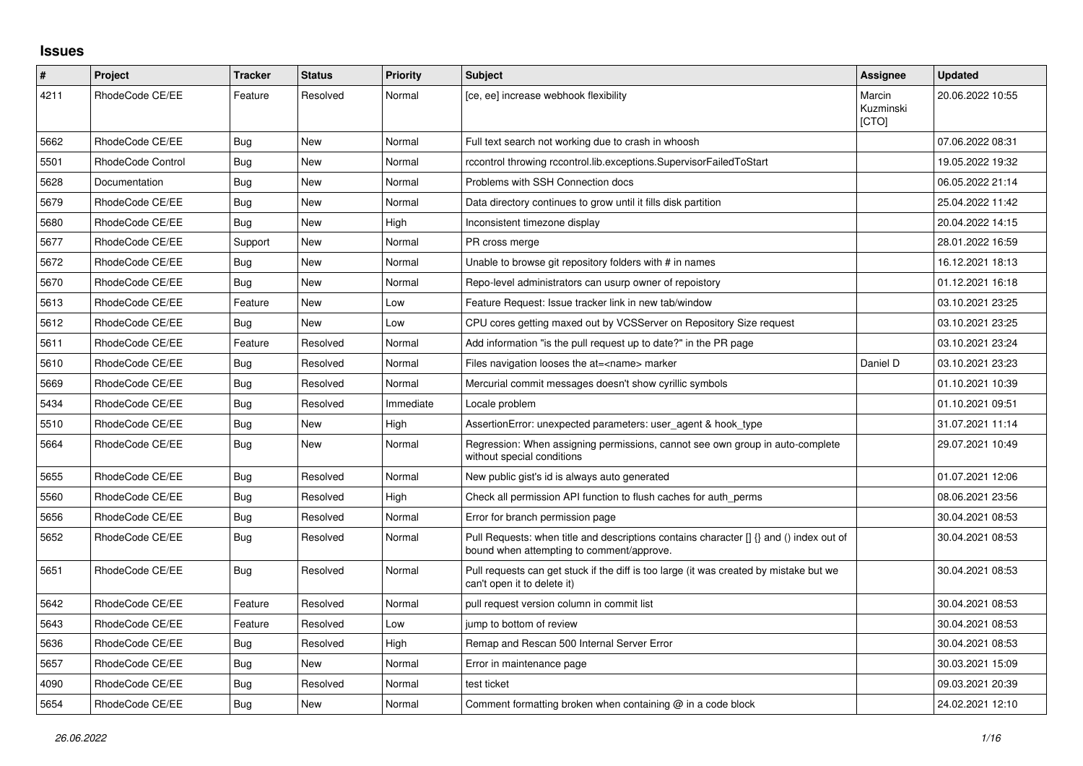## **Issues**

| #    | <b>Project</b>    | <b>Tracker</b> | <b>Status</b> | <b>Priority</b> | <b>Subject</b>                                                                                                                       | Assignee                     | <b>Updated</b>   |
|------|-------------------|----------------|---------------|-----------------|--------------------------------------------------------------------------------------------------------------------------------------|------------------------------|------------------|
| 4211 | RhodeCode CE/EE   | Feature        | Resolved      | Normal          | [ce, ee] increase webhook flexibility                                                                                                | Marcin<br>Kuzminski<br>[CTO] | 20.06.2022 10:55 |
| 5662 | RhodeCode CE/EE   | <b>Bug</b>     | New           | Normal          | Full text search not working due to crash in whoosh                                                                                  |                              | 07.06.2022 08:31 |
| 5501 | RhodeCode Control | Bug            | New           | Normal          | rccontrol throwing rccontrol.lib.exceptions.SupervisorFailedToStart                                                                  |                              | 19.05.2022 19:32 |
| 5628 | Documentation     | Bug            | New           | Normal          | Problems with SSH Connection docs                                                                                                    |                              | 06.05.2022 21:14 |
| 5679 | RhodeCode CE/EE   | Bug            | <b>New</b>    | Normal          | Data directory continues to grow until it fills disk partition                                                                       |                              | 25.04.2022 11:42 |
| 5680 | RhodeCode CE/EE   | <b>Bug</b>     | New           | High            | Inconsistent timezone display                                                                                                        |                              | 20.04.2022 14:15 |
| 5677 | RhodeCode CE/EE   | Support        | <b>New</b>    | Normal          | PR cross merge                                                                                                                       |                              | 28.01.2022 16:59 |
| 5672 | RhodeCode CE/EE   | Bug            | <b>New</b>    | Normal          | Unable to browse git repository folders with # in names                                                                              |                              | 16.12.2021 18:13 |
| 5670 | RhodeCode CE/EE   | Bug            | <b>New</b>    | Normal          | Repo-level administrators can usurp owner of repoistory                                                                              |                              | 01.12.2021 16:18 |
| 5613 | RhodeCode CE/EE   | Feature        | <b>New</b>    | Low             | Feature Request: Issue tracker link in new tab/window                                                                                |                              | 03.10.2021 23:25 |
| 5612 | RhodeCode CE/EE   | Bug            | <b>New</b>    | Low             | CPU cores getting maxed out by VCSServer on Repository Size request                                                                  |                              | 03.10.2021 23:25 |
| 5611 | RhodeCode CE/EE   | Feature        | Resolved      | Normal          | Add information "is the pull request up to date?" in the PR page                                                                     |                              | 03.10.2021 23:24 |
| 5610 | RhodeCode CE/EE   | Bug            | Resolved      | Normal          | Files navigation looses the at= <name> marker</name>                                                                                 | Daniel D                     | 03.10.2021 23:23 |
| 5669 | RhodeCode CE/EE   | <b>Bug</b>     | Resolved      | Normal          | Mercurial commit messages doesn't show cyrillic symbols                                                                              |                              | 01.10.2021 10:39 |
| 5434 | RhodeCode CE/EE   | Bug            | Resolved      | Immediate       | Locale problem                                                                                                                       |                              | 01.10.2021 09:51 |
| 5510 | RhodeCode CE/EE   | Bug            | New           | High            | AssertionError: unexpected parameters: user agent & hook type                                                                        |                              | 31.07.2021 11:14 |
| 5664 | RhodeCode CE/EE   | Bug            | New           | Normal          | Regression: When assigning permissions, cannot see own group in auto-complete<br>without special conditions                          |                              | 29.07.2021 10:49 |
| 5655 | RhodeCode CE/EE   | Bug            | Resolved      | Normal          | New public gist's id is always auto generated                                                                                        |                              | 01.07.2021 12:06 |
| 5560 | RhodeCode CE/EE   | Bug            | Resolved      | High            | Check all permission API function to flush caches for auth perms                                                                     |                              | 08.06.2021 23:56 |
| 5656 | RhodeCode CE/EE   | Bug            | Resolved      | Normal          | Error for branch permission page                                                                                                     |                              | 30.04.2021 08:53 |
| 5652 | RhodeCode CE/EE   | Bug            | Resolved      | Normal          | Pull Requests: when title and descriptions contains character [] {} and () index out of<br>bound when attempting to comment/approve. |                              | 30.04.2021 08:53 |
| 5651 | RhodeCode CE/EE   | Bug            | Resolved      | Normal          | Pull requests can get stuck if the diff is too large (it was created by mistake but we<br>can't open it to delete it)                |                              | 30.04.2021 08:53 |
| 5642 | RhodeCode CE/EE   | Feature        | Resolved      | Normal          | pull request version column in commit list                                                                                           |                              | 30.04.2021 08:53 |
| 5643 | RhodeCode CE/EE   | Feature        | Resolved      | Low             | jump to bottom of review                                                                                                             |                              | 30.04.2021 08:53 |
| 5636 | RhodeCode CE/EE   | Bug            | Resolved      | High            | Remap and Rescan 500 Internal Server Error                                                                                           |                              | 30.04.2021 08:53 |
| 5657 | RhodeCode CE/EE   | Bug            | New           | Normal          | Error in maintenance page                                                                                                            |                              | 30.03.2021 15:09 |
| 4090 | RhodeCode CE/EE   | Bug            | Resolved      | Normal          | test ticket                                                                                                                          |                              | 09.03.2021 20:39 |
| 5654 | RhodeCode CE/EE   | Bug            | <b>New</b>    | Normal          | Comment formatting broken when containing $@$ in a code block                                                                        |                              | 24.02.2021 12:10 |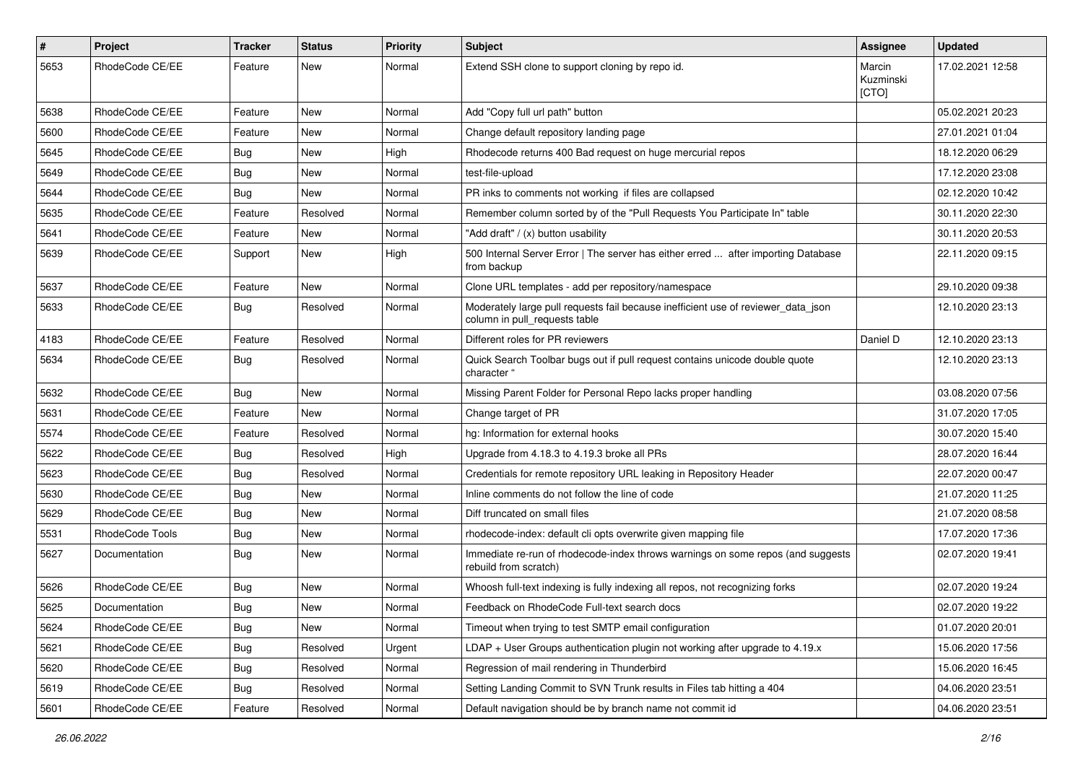| $\pmb{\#}$ | Project         | <b>Tracker</b> | <b>Status</b> | <b>Priority</b> | <b>Subject</b>                                                                                                     | Assignee                     | <b>Updated</b>   |
|------------|-----------------|----------------|---------------|-----------------|--------------------------------------------------------------------------------------------------------------------|------------------------------|------------------|
| 5653       | RhodeCode CE/EE | Feature        | <b>New</b>    | Normal          | Extend SSH clone to support cloning by repo id.                                                                    | Marcin<br>Kuzminski<br>[CTO] | 17.02.2021 12:58 |
| 5638       | RhodeCode CE/EE | Feature        | New           | Normal          | Add "Copy full url path" button                                                                                    |                              | 05.02.2021 20:23 |
| 5600       | RhodeCode CE/EE | Feature        | <b>New</b>    | Normal          | Change default repository landing page                                                                             |                              | 27.01.2021 01:04 |
| 5645       | RhodeCode CE/EE | Bug            | New           | High            | Rhodecode returns 400 Bad request on huge mercurial repos                                                          |                              | 18.12.2020 06:29 |
| 5649       | RhodeCode CE/EE | Bug            | New           | Normal          | test-file-upload                                                                                                   |                              | 17.12.2020 23:08 |
| 5644       | RhodeCode CE/EE | Bug            | New           | Normal          | PR inks to comments not working if files are collapsed                                                             |                              | 02.12.2020 10:42 |
| 5635       | RhodeCode CE/EE | Feature        | Resolved      | Normal          | Remember column sorted by of the "Pull Requests You Participate In" table                                          |                              | 30.11.2020 22:30 |
| 5641       | RhodeCode CE/EE | Feature        | <b>New</b>    | Normal          | "Add draft" / (x) button usability                                                                                 |                              | 30.11.2020 20:53 |
| 5639       | RhodeCode CE/EE | Support        | New           | High            | 500 Internal Server Error   The server has either erred  after importing Database<br>from backup                   |                              | 22.11.2020 09:15 |
| 5637       | RhodeCode CE/EE | Feature        | <b>New</b>    | Normal          | Clone URL templates - add per repository/namespace                                                                 |                              | 29.10.2020 09:38 |
| 5633       | RhodeCode CE/EE | Bug            | Resolved      | Normal          | Moderately large pull requests fail because inefficient use of reviewer_data_json<br>column in pull_requests table |                              | 12.10.2020 23:13 |
| 4183       | RhodeCode CE/EE | Feature        | Resolved      | Normal          | Different roles for PR reviewers                                                                                   | Daniel D                     | 12.10.2020 23:13 |
| 5634       | RhodeCode CE/EE | Bug            | Resolved      | Normal          | Quick Search Toolbar bugs out if pull request contains unicode double quote<br>character "                         |                              | 12.10.2020 23:13 |
| 5632       | RhodeCode CE/EE | Bug            | New           | Normal          | Missing Parent Folder for Personal Repo lacks proper handling                                                      |                              | 03.08.2020 07:56 |
| 5631       | RhodeCode CE/EE | Feature        | New           | Normal          | Change target of PR                                                                                                |                              | 31.07.2020 17:05 |
| 5574       | RhodeCode CE/EE | Feature        | Resolved      | Normal          | hg: Information for external hooks                                                                                 |                              | 30.07.2020 15:40 |
| 5622       | RhodeCode CE/EE | Bug            | Resolved      | High            | Upgrade from 4.18.3 to 4.19.3 broke all PRs                                                                        |                              | 28.07.2020 16:44 |
| 5623       | RhodeCode CE/EE | Bug            | Resolved      | Normal          | Credentials for remote repository URL leaking in Repository Header                                                 |                              | 22.07.2020 00:47 |
| 5630       | RhodeCode CE/EE | Bug            | New           | Normal          | Inline comments do not follow the line of code                                                                     |                              | 21.07.2020 11:25 |
| 5629       | RhodeCode CE/EE | <b>Bug</b>     | New           | Normal          | Diff truncated on small files                                                                                      |                              | 21.07.2020 08:58 |
| 5531       | RhodeCode Tools | Bug            | <b>New</b>    | Normal          | rhodecode-index: default cli opts overwrite given mapping file                                                     |                              | 17.07.2020 17:36 |
| 5627       | Documentation   | Bug            | New           | Normal          | Immediate re-run of rhodecode-index throws warnings on some repos (and suggests<br>rebuild from scratch)           |                              | 02.07.2020 19:41 |
| 5626       | RhodeCode CE/EE | Bug            | <b>New</b>    | Normal          | Whoosh full-text indexing is fully indexing all repos, not recognizing forks                                       |                              | 02.07.2020 19:24 |
| 5625       | Documentation   | Bug            | New           | Normal          | Feedback on RhodeCode Full-text search docs                                                                        |                              | 02.07.2020 19:22 |
| 5624       | RhodeCode CE/EE | <b>Bug</b>     | New           | Normal          | Timeout when trying to test SMTP email configuration                                                               |                              | 01.07.2020 20:01 |
| 5621       | RhodeCode CE/EE | <b>Bug</b>     | Resolved      | Urgent          | LDAP + User Groups authentication plugin not working after upgrade to 4.19.x                                       |                              | 15.06.2020 17:56 |
| 5620       | RhodeCode CE/EE | <b>Bug</b>     | Resolved      | Normal          | Regression of mail rendering in Thunderbird                                                                        |                              | 15.06.2020 16:45 |
| 5619       | RhodeCode CE/EE | Bug            | Resolved      | Normal          | Setting Landing Commit to SVN Trunk results in Files tab hitting a 404                                             |                              | 04.06.2020 23:51 |
| 5601       | RhodeCode CE/EE | Feature        | Resolved      | Normal          | Default navigation should be by branch name not commit id                                                          |                              | 04.06.2020 23:51 |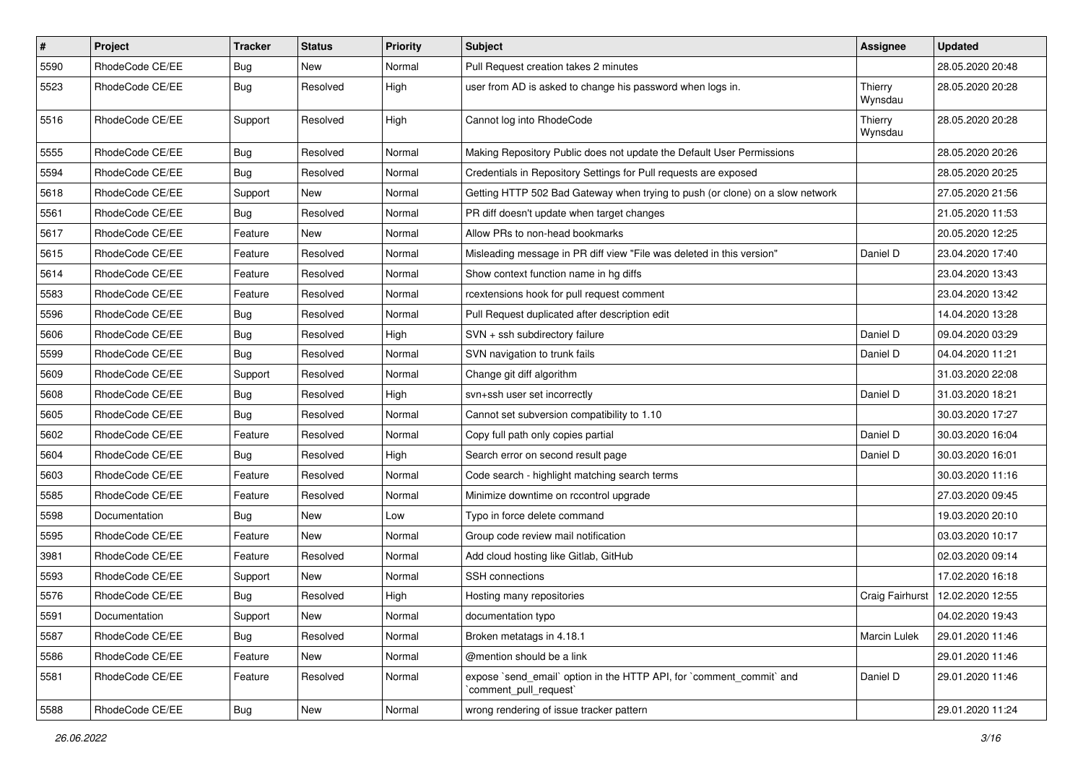| $\vert$ # | Project         | Tracker    | <b>Status</b> | <b>Priority</b> | Subject                                                                                        | Assignee            | <b>Updated</b>   |
|-----------|-----------------|------------|---------------|-----------------|------------------------------------------------------------------------------------------------|---------------------|------------------|
| 5590      | RhodeCode CE/EE | <b>Bug</b> | New           | Normal          | Pull Request creation takes 2 minutes                                                          |                     | 28.05.2020 20:48 |
| 5523      | RhodeCode CE/EE | <b>Bug</b> | Resolved      | High            | user from AD is asked to change his password when logs in.                                     | Thierry<br>Wynsdau  | 28.05.2020 20:28 |
| 5516      | RhodeCode CE/EE | Support    | Resolved      | High            | Cannot log into RhodeCode                                                                      | Thierry<br>Wynsdau  | 28.05.2020 20:28 |
| 5555      | RhodeCode CE/EE | <b>Bug</b> | Resolved      | Normal          | Making Repository Public does not update the Default User Permissions                          |                     | 28.05.2020 20:26 |
| 5594      | RhodeCode CE/EE | <b>Bug</b> | Resolved      | Normal          | Credentials in Repository Settings for Pull requests are exposed                               |                     | 28.05.2020 20:25 |
| 5618      | RhodeCode CE/EE | Support    | New           | Normal          | Getting HTTP 502 Bad Gateway when trying to push (or clone) on a slow network                  |                     | 27.05.2020 21:56 |
| 5561      | RhodeCode CE/EE | <b>Bug</b> | Resolved      | Normal          | PR diff doesn't update when target changes                                                     |                     | 21.05.2020 11:53 |
| 5617      | RhodeCode CE/EE | Feature    | New           | Normal          | Allow PRs to non-head bookmarks                                                                |                     | 20.05.2020 12:25 |
| 5615      | RhodeCode CE/EE | Feature    | Resolved      | Normal          | Misleading message in PR diff view "File was deleted in this version"                          | Daniel D            | 23.04.2020 17:40 |
| 5614      | RhodeCode CE/EE | Feature    | Resolved      | Normal          | Show context function name in hg diffs                                                         |                     | 23.04.2020 13:43 |
| 5583      | RhodeCode CE/EE | Feature    | Resolved      | Normal          | rcextensions hook for pull request comment                                                     |                     | 23.04.2020 13:42 |
| 5596      | RhodeCode CE/EE | <b>Bug</b> | Resolved      | Normal          | Pull Request duplicated after description edit                                                 |                     | 14.04.2020 13:28 |
| 5606      | RhodeCode CE/EE | <b>Bug</b> | Resolved      | High            | SVN + ssh subdirectory failure                                                                 | Daniel D            | 09.04.2020 03:29 |
| 5599      | RhodeCode CE/EE | Bug        | Resolved      | Normal          | SVN navigation to trunk fails                                                                  | Daniel D            | 04.04.2020 11:21 |
| 5609      | RhodeCode CE/EE | Support    | Resolved      | Normal          | Change git diff algorithm                                                                      |                     | 31.03.2020 22:08 |
| 5608      | RhodeCode CE/EE | <b>Bug</b> | Resolved      | High            | svn+ssh user set incorrectly                                                                   | Daniel D            | 31.03.2020 18:21 |
| 5605      | RhodeCode CE/EE | <b>Bug</b> | Resolved      | Normal          | Cannot set subversion compatibility to 1.10                                                    |                     | 30.03.2020 17:27 |
| 5602      | RhodeCode CE/EE | Feature    | Resolved      | Normal          | Copy full path only copies partial                                                             | Daniel D            | 30.03.2020 16:04 |
| 5604      | RhodeCode CE/EE | Bug        | Resolved      | High            | Search error on second result page                                                             | Daniel D            | 30.03.2020 16:01 |
| 5603      | RhodeCode CE/EE | Feature    | Resolved      | Normal          | Code search - highlight matching search terms                                                  |                     | 30.03.2020 11:16 |
| 5585      | RhodeCode CE/EE | Feature    | Resolved      | Normal          | Minimize downtime on rccontrol upgrade                                                         |                     | 27.03.2020 09:45 |
| 5598      | Documentation   | Bug        | New           | Low             | Typo in force delete command                                                                   |                     | 19.03.2020 20:10 |
| 5595      | RhodeCode CE/EE | Feature    | New           | Normal          | Group code review mail notification                                                            |                     | 03.03.2020 10:17 |
| 3981      | RhodeCode CE/EE | Feature    | Resolved      | Normal          | Add cloud hosting like Gitlab, GitHub                                                          |                     | 02.03.2020 09:14 |
| 5593      | RhodeCode CE/EE | Support    | New           | Normal          | SSH connections                                                                                |                     | 17.02.2020 16:18 |
| 5576      | RhodeCode CE/EE | <b>Bug</b> | Resolved      | High            | Hosting many repositories                                                                      | Craig Fairhurst     | 12.02.2020 12:55 |
| 5591      | Documentation   | Support    | New           | Normal          | documentation typo                                                                             |                     | 04.02.2020 19:43 |
| 5587      | RhodeCode CE/EE | Bug        | Resolved      | Normal          | Broken metatags in 4.18.1                                                                      | <b>Marcin Lulek</b> | 29.01.2020 11:46 |
| 5586      | RhodeCode CE/EE | Feature    | New           | Normal          | @mention should be a link                                                                      |                     | 29.01.2020 11:46 |
| 5581      | RhodeCode CE/EE | Feature    | Resolved      | Normal          | expose `send_email` option in the HTTP API, for `comment_commit` and<br>`comment_pull_request` | Daniel D            | 29.01.2020 11:46 |
| 5588      | RhodeCode CE/EE | <b>Bug</b> | New           | Normal          | wrong rendering of issue tracker pattern                                                       |                     | 29.01.2020 11:24 |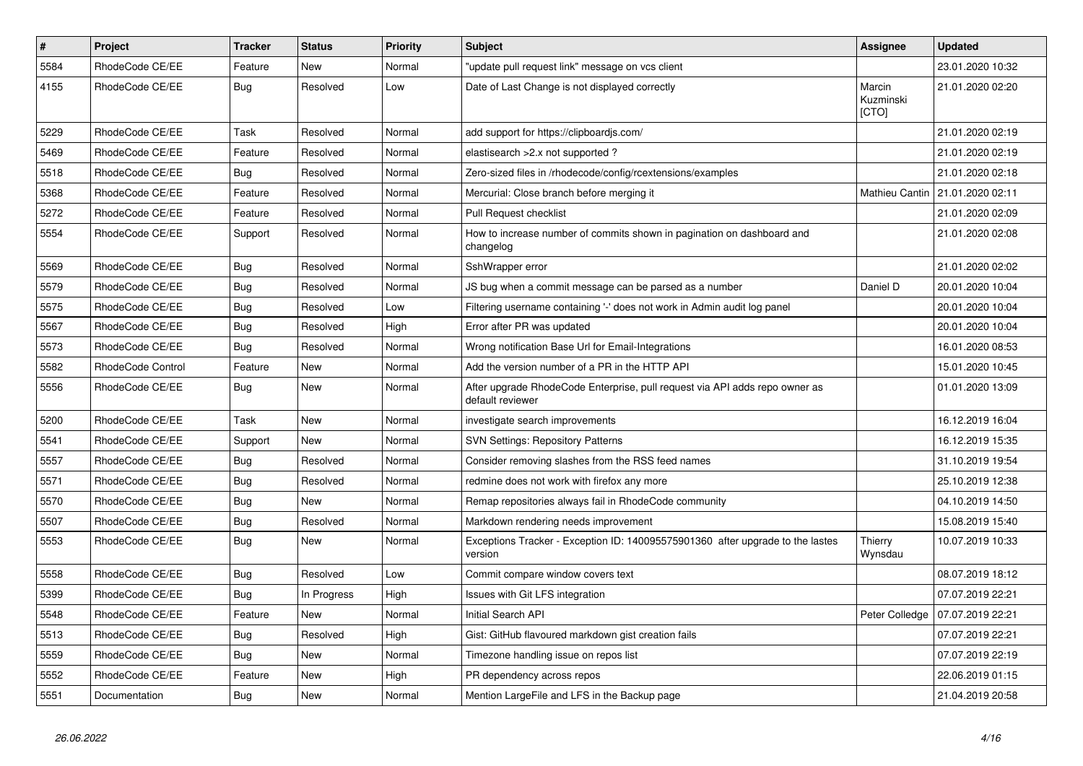| $\sharp$ | <b>Project</b>    | <b>Tracker</b> | <b>Status</b> | <b>Priority</b> | <b>Subject</b>                                                                                  | Assignee                     | <b>Updated</b>   |
|----------|-------------------|----------------|---------------|-----------------|-------------------------------------------------------------------------------------------------|------------------------------|------------------|
| 5584     | RhodeCode CE/EE   | Feature        | New           | Normal          | "update pull request link" message on vcs client                                                |                              | 23.01.2020 10:32 |
| 4155     | RhodeCode CE/EE   | <b>Bug</b>     | Resolved      | Low             | Date of Last Change is not displayed correctly                                                  | Marcin<br>Kuzminski<br>[CTO] | 21.01.2020 02:20 |
| 5229     | RhodeCode CE/EE   | Task           | Resolved      | Normal          | add support for https://clipboardjs.com/                                                        |                              | 21.01.2020 02:19 |
| 5469     | RhodeCode CE/EE   | Feature        | Resolved      | Normal          | elastisearch > 2.x not supported ?                                                              |                              | 21.01.2020 02:19 |
| 5518     | RhodeCode CE/EE   | <b>Bug</b>     | Resolved      | Normal          | Zero-sized files in /rhodecode/config/rcextensions/examples                                     |                              | 21.01.2020 02:18 |
| 5368     | RhodeCode CE/EE   | Feature        | Resolved      | Normal          | Mercurial: Close branch before merging it                                                       | Mathieu Cantin               | 21.01.2020 02:11 |
| 5272     | RhodeCode CE/EE   | Feature        | Resolved      | Normal          | Pull Request checklist                                                                          |                              | 21.01.2020 02:09 |
| 5554     | RhodeCode CE/EE   | Support        | Resolved      | Normal          | How to increase number of commits shown in pagination on dashboard and<br>changelog             |                              | 21.01.2020 02:08 |
| 5569     | RhodeCode CE/EE   | <b>Bug</b>     | Resolved      | Normal          | SshWrapper error                                                                                |                              | 21.01.2020 02:02 |
| 5579     | RhodeCode CE/EE   | Bug            | Resolved      | Normal          | JS bug when a commit message can be parsed as a number                                          | Daniel D                     | 20.01.2020 10:04 |
| 5575     | RhodeCode CE/EE   | <b>Bug</b>     | Resolved      | Low             | Filtering username containing '-' does not work in Admin audit log panel                        |                              | 20.01.2020 10:04 |
| 5567     | RhodeCode CE/EE   | <b>Bug</b>     | Resolved      | High            | Error after PR was updated                                                                      |                              | 20.01.2020 10:04 |
| 5573     | RhodeCode CE/EE   | Bug            | Resolved      | Normal          | Wrong notification Base Url for Email-Integrations                                              |                              | 16.01.2020 08:53 |
| 5582     | RhodeCode Control | Feature        | New           | Normal          | Add the version number of a PR in the HTTP API                                                  |                              | 15.01.2020 10:45 |
| 5556     | RhodeCode CE/EE   | <b>Bug</b>     | <b>New</b>    | Normal          | After upgrade RhodeCode Enterprise, pull request via API adds repo owner as<br>default reviewer |                              | 01.01.2020 13:09 |
| 5200     | RhodeCode CE/EE   | Task           | New           | Normal          | investigate search improvements                                                                 |                              | 16.12.2019 16:04 |
| 5541     | RhodeCode CE/EE   | Support        | New           | Normal          | <b>SVN Settings: Repository Patterns</b>                                                        |                              | 16.12.2019 15:35 |
| 5557     | RhodeCode CE/EE   | <b>Bug</b>     | Resolved      | Normal          | Consider removing slashes from the RSS feed names                                               |                              | 31.10.2019 19:54 |
| 5571     | RhodeCode CE/EE   | <b>Bug</b>     | Resolved      | Normal          | redmine does not work with firefox any more                                                     |                              | 25.10.2019 12:38 |
| 5570     | RhodeCode CE/EE   | Bug            | New           | Normal          | Remap repositories always fail in RhodeCode community                                           |                              | 04.10.2019 14:50 |
| 5507     | RhodeCode CE/EE   | Bug            | Resolved      | Normal          | Markdown rendering needs improvement                                                            |                              | 15.08.2019 15:40 |
| 5553     | RhodeCode CE/EE   | Bug            | New           | Normal          | Exceptions Tracker - Exception ID: 140095575901360 after upgrade to the lastes<br>version       | Thierry<br>Wynsdau           | 10.07.2019 10:33 |
| 5558     | RhodeCode CE/EE   | Bug            | Resolved      | Low             | Commit compare window covers text                                                               |                              | 08.07.2019 18:12 |
| 5399     | RhodeCode CE/EE   | <b>Bug</b>     | In Progress   | High            | Issues with Git LFS integration                                                                 |                              | 07.07.2019 22:21 |
| 5548     | RhodeCode CE/EE   | Feature        | <b>New</b>    | Normal          | Initial Search API                                                                              | Peter Colledge               | 07.07.2019 22:21 |
| 5513     | RhodeCode CE/EE   | Bug            | Resolved      | High            | Gist: GitHub flavoured markdown gist creation fails                                             |                              | 07.07.2019 22:21 |
| 5559     | RhodeCode CE/EE   | Bug            | New           | Normal          | Timezone handling issue on repos list                                                           |                              | 07.07.2019 22:19 |
| 5552     | RhodeCode CE/EE   | Feature        | New           | High            | PR dependency across repos                                                                      |                              | 22.06.2019 01:15 |
| 5551     | Documentation     | Bug            | New           | Normal          | Mention Large File and LFS in the Backup page                                                   |                              | 21.04.2019 20:58 |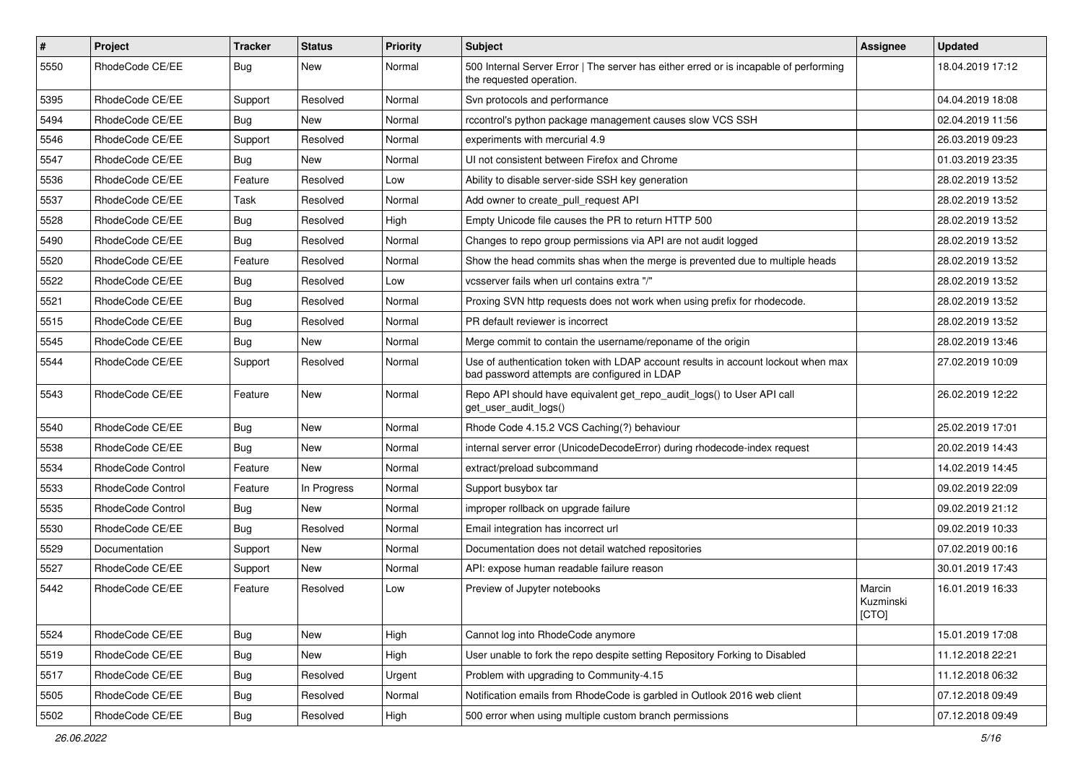| $\pmb{\#}$ | Project                  | <b>Tracker</b> | <b>Status</b> | <b>Priority</b> | Subject                                                                                                                           | <b>Assignee</b>              | <b>Updated</b>   |
|------------|--------------------------|----------------|---------------|-----------------|-----------------------------------------------------------------------------------------------------------------------------------|------------------------------|------------------|
| 5550       | RhodeCode CE/EE          | Bug            | New           | Normal          | 500 Internal Server Error   The server has either erred or is incapable of performing<br>the requested operation.                 |                              | 18.04.2019 17:12 |
| 5395       | RhodeCode CE/EE          | Support        | Resolved      | Normal          | Svn protocols and performance                                                                                                     |                              | 04.04.2019 18:08 |
| 5494       | RhodeCode CE/EE          | Bug            | <b>New</b>    | Normal          | rccontrol's python package management causes slow VCS SSH                                                                         |                              | 02.04.2019 11:56 |
| 5546       | RhodeCode CE/EE          | Support        | Resolved      | Normal          | experiments with mercurial 4.9                                                                                                    |                              | 26.03.2019 09:23 |
| 5547       | RhodeCode CE/EE          | Bug            | <b>New</b>    | Normal          | UI not consistent between Firefox and Chrome                                                                                      |                              | 01.03.2019 23:35 |
| 5536       | RhodeCode CE/EE          | Feature        | Resolved      | Low             | Ability to disable server-side SSH key generation                                                                                 |                              | 28.02.2019 13:52 |
| 5537       | RhodeCode CE/EE          | Task           | Resolved      | Normal          | Add owner to create_pull_request API                                                                                              |                              | 28.02.2019 13:52 |
| 5528       | RhodeCode CE/EE          | Bug            | Resolved      | High            | Empty Unicode file causes the PR to return HTTP 500                                                                               |                              | 28.02.2019 13:52 |
| 5490       | RhodeCode CE/EE          | Bug            | Resolved      | Normal          | Changes to repo group permissions via API are not audit logged                                                                    |                              | 28.02.2019 13:52 |
| 5520       | RhodeCode CE/EE          | Feature        | Resolved      | Normal          | Show the head commits shas when the merge is prevented due to multiple heads                                                      |                              | 28.02.2019 13:52 |
| 5522       | RhodeCode CE/EE          | Bug            | Resolved      | Low             | vcsserver fails when url contains extra "/"                                                                                       |                              | 28.02.2019 13:52 |
| 5521       | RhodeCode CE/EE          | Bug            | Resolved      | Normal          | Proxing SVN http requests does not work when using prefix for rhodecode.                                                          |                              | 28.02.2019 13:52 |
| 5515       | RhodeCode CE/EE          | Bug            | Resolved      | Normal          | PR default reviewer is incorrect                                                                                                  |                              | 28.02.2019 13:52 |
| 5545       | RhodeCode CE/EE          | <b>Bug</b>     | <b>New</b>    | Normal          | Merge commit to contain the username/reponame of the origin                                                                       |                              | 28.02.2019 13:46 |
| 5544       | RhodeCode CE/EE          | Support        | Resolved      | Normal          | Use of authentication token with LDAP account results in account lockout when max<br>bad password attempts are configured in LDAP |                              | 27.02.2019 10:09 |
| 5543       | RhodeCode CE/EE          | Feature        | New           | Normal          | Repo API should have equivalent get_repo_audit_logs() to User API call<br>get_user_audit_logs()                                   |                              | 26.02.2019 12:22 |
| 5540       | RhodeCode CE/EE          | Bug            | <b>New</b>    | Normal          | Rhode Code 4.15.2 VCS Caching(?) behaviour                                                                                        |                              | 25.02.2019 17:01 |
| 5538       | RhodeCode CE/EE          | Bug            | <b>New</b>    | Normal          | internal server error (UnicodeDecodeError) during rhodecode-index request                                                         |                              | 20.02.2019 14:43 |
| 5534       | RhodeCode Control        | Feature        | <b>New</b>    | Normal          | extract/preload subcommand                                                                                                        |                              | 14.02.2019 14:45 |
| 5533       | <b>RhodeCode Control</b> | Feature        | In Progress   | Normal          | Support busybox tar                                                                                                               |                              | 09.02.2019 22:09 |
| 5535       | RhodeCode Control        | Bug            | New           | Normal          | improper rollback on upgrade failure                                                                                              |                              | 09.02.2019 21:12 |
| 5530       | RhodeCode CE/EE          | Bug            | Resolved      | Normal          | Email integration has incorrect url                                                                                               |                              | 09.02.2019 10:33 |
| 5529       | Documentation            | Support        | <b>New</b>    | Normal          | Documentation does not detail watched repositories                                                                                |                              | 07.02.2019 00:16 |
| 5527       | RhodeCode CE/EE          | Support        | New           | Normal          | API: expose human readable failure reason                                                                                         |                              | 30.01.2019 17:43 |
| 5442       | RhodeCode CE/EE          | Feature        | Resolved      | Low             | Preview of Jupyter notebooks                                                                                                      | Marcin<br>Kuzminski<br>[CTO] | 16.01.2019 16:33 |
| 5524       | RhodeCode CE/EE          | Bug            | <b>New</b>    | High            | Cannot log into RhodeCode anymore                                                                                                 |                              | 15.01.2019 17:08 |
| 5519       | RhodeCode CE/EE          | Bug            | New           | High            | User unable to fork the repo despite setting Repository Forking to Disabled                                                       |                              | 11.12.2018 22:21 |
| 5517       | RhodeCode CE/EE          | Bug            | Resolved      | Urgent          | Problem with upgrading to Community-4.15                                                                                          |                              | 11.12.2018 06:32 |
| 5505       | RhodeCode CE/EE          | <b>Bug</b>     | Resolved      | Normal          | Notification emails from RhodeCode is garbled in Outlook 2016 web client                                                          |                              | 07.12.2018 09:49 |
| 5502       | RhodeCode CE/EE          | Bug            | Resolved      | High            | 500 error when using multiple custom branch permissions                                                                           |                              | 07.12.2018 09:49 |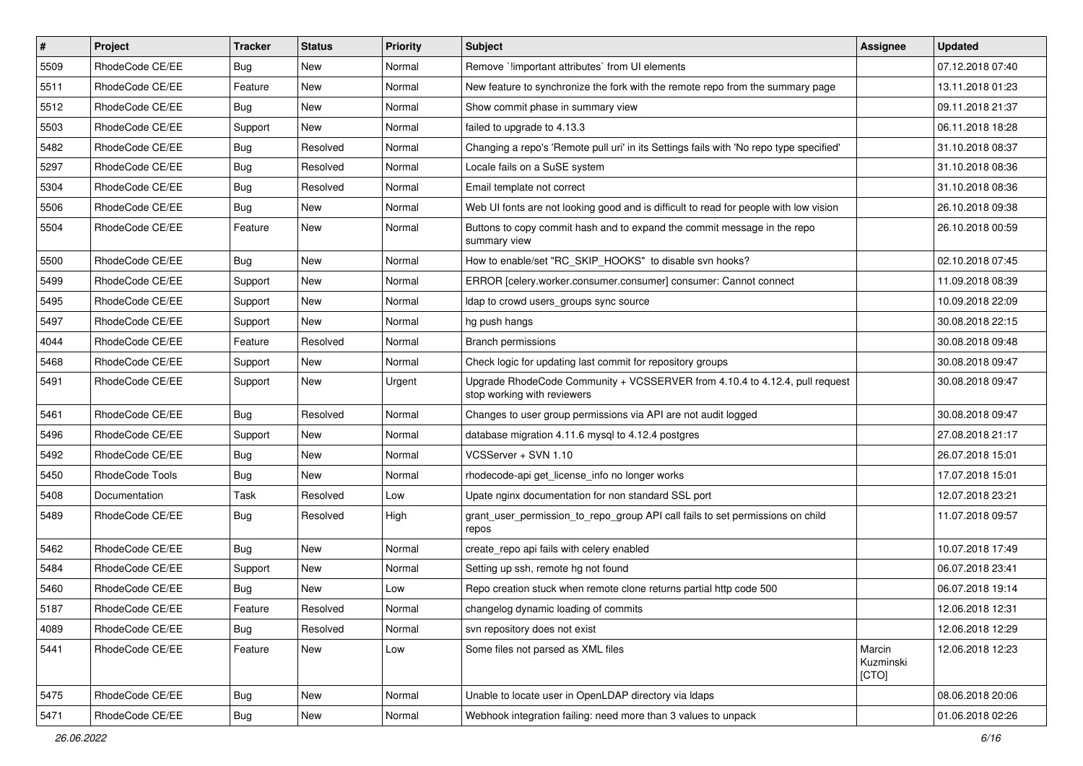| $\sharp$ | Project         | <b>Tracker</b> | <b>Status</b> | <b>Priority</b> | <b>Subject</b>                                                                                             | <b>Assignee</b>              | <b>Updated</b>   |
|----------|-----------------|----------------|---------------|-----------------|------------------------------------------------------------------------------------------------------------|------------------------------|------------------|
| 5509     | RhodeCode CE/EE | Bug            | New           | Normal          | Remove `!important attributes` from UI elements                                                            |                              | 07.12.2018 07:40 |
| 5511     | RhodeCode CE/EE | Feature        | New           | Normal          | New feature to synchronize the fork with the remote repo from the summary page                             |                              | 13.11.2018 01:23 |
| 5512     | RhodeCode CE/EE | Bug            | New           | Normal          | Show commit phase in summary view                                                                          |                              | 09.11.2018 21:37 |
| 5503     | RhodeCode CE/EE | Support        | <b>New</b>    | Normal          | failed to upgrade to 4.13.3                                                                                |                              | 06.11.2018 18:28 |
| 5482     | RhodeCode CE/EE | Bug            | Resolved      | Normal          | Changing a repo's 'Remote pull uri' in its Settings fails with 'No repo type specified'                    |                              | 31.10.2018 08:37 |
| 5297     | RhodeCode CE/EE | Bug            | Resolved      | Normal          | Locale fails on a SuSE system                                                                              |                              | 31.10.2018 08:36 |
| 5304     | RhodeCode CE/EE | Bug            | Resolved      | Normal          | Email template not correct                                                                                 |                              | 31.10.2018 08:36 |
| 5506     | RhodeCode CE/EE | Bug            | New           | Normal          | Web UI fonts are not looking good and is difficult to read for people with low vision                      |                              | 26.10.2018 09:38 |
| 5504     | RhodeCode CE/EE | Feature        | New           | Normal          | Buttons to copy commit hash and to expand the commit message in the repo<br>summary view                   |                              | 26.10.2018 00:59 |
| 5500     | RhodeCode CE/EE | Bug            | New           | Normal          | How to enable/set "RC SKIP HOOKS" to disable svn hooks?                                                    |                              | 02.10.2018 07:45 |
| 5499     | RhodeCode CE/EE | Support        | New           | Normal          | ERROR [celery.worker.consumer.consumer] consumer: Cannot connect                                           |                              | 11.09.2018 08:39 |
| 5495     | RhodeCode CE/EE | Support        | <b>New</b>    | Normal          | Idap to crowd users_groups sync source                                                                     |                              | 10.09.2018 22:09 |
| 5497     | RhodeCode CE/EE | Support        | New           | Normal          | hg push hangs                                                                                              |                              | 30.08.2018 22:15 |
| 4044     | RhodeCode CE/EE | Feature        | Resolved      | Normal          | <b>Branch permissions</b>                                                                                  |                              | 30.08.2018 09:48 |
| 5468     | RhodeCode CE/EE | Support        | New           | Normal          | Check logic for updating last commit for repository groups                                                 |                              | 30.08.2018 09:47 |
| 5491     | RhodeCode CE/EE | Support        | New           | Urgent          | Upgrade RhodeCode Community + VCSSERVER from 4.10.4 to 4.12.4, pull request<br>stop working with reviewers |                              | 30.08.2018 09:47 |
| 5461     | RhodeCode CE/EE | Bug            | Resolved      | Normal          | Changes to user group permissions via API are not audit logged                                             |                              | 30.08.2018 09:47 |
| 5496     | RhodeCode CE/EE | Support        | New           | Normal          | database migration 4.11.6 mysql to 4.12.4 postgres                                                         |                              | 27.08.2018 21:17 |
| 5492     | RhodeCode CE/EE | <b>Bug</b>     | <b>New</b>    | Normal          | VCSServer + SVN 1.10                                                                                       |                              | 26.07.2018 15:01 |
| 5450     | RhodeCode Tools | Bug            | New           | Normal          | rhodecode-api get license info no longer works                                                             |                              | 17.07.2018 15:01 |
| 5408     | Documentation   | Task           | Resolved      | Low             | Upate nginx documentation for non standard SSL port                                                        |                              | 12.07.2018 23:21 |
| 5489     | RhodeCode CE/EE | Bug            | Resolved      | High            | grant_user_permission_to_repo_group API call fails to set permissions on child<br>repos                    |                              | 11.07.2018 09:57 |
| 5462     | RhodeCode CE/EE | Bug            | <b>New</b>    | Normal          | create_repo api fails with celery enabled                                                                  |                              | 10.07.2018 17:49 |
| 5484     | RhodeCode CE/EE | Support        | New           | Normal          | Setting up ssh, remote hg not found                                                                        |                              | 06.07.2018 23:41 |
| 5460     | RhodeCode CE/EE | Bug            | New           | Low             | Repo creation stuck when remote clone returns partial http code 500                                        |                              | 06.07.2018 19:14 |
| 5187     | RhodeCode CE/EE | Feature        | Resolved      | Normal          | changelog dynamic loading of commits                                                                       |                              | 12.06.2018 12:31 |
| 4089     | RhodeCode CE/EE | Bug            | Resolved      | Normal          | svn repository does not exist                                                                              |                              | 12.06.2018 12:29 |
| 5441     | RhodeCode CE/EE | Feature        | New           | Low             | Some files not parsed as XML files                                                                         | Marcin<br>Kuzminski<br>[CTO] | 12.06.2018 12:23 |
| 5475     | RhodeCode CE/EE | Bug            | New           | Normal          | Unable to locate user in OpenLDAP directory via Idaps                                                      |                              | 08.06.2018 20:06 |
| 5471     | RhodeCode CE/EE | <b>Bug</b>     | New           | Normal          | Webhook integration failing: need more than 3 values to unpack                                             |                              | 01.06.2018 02:26 |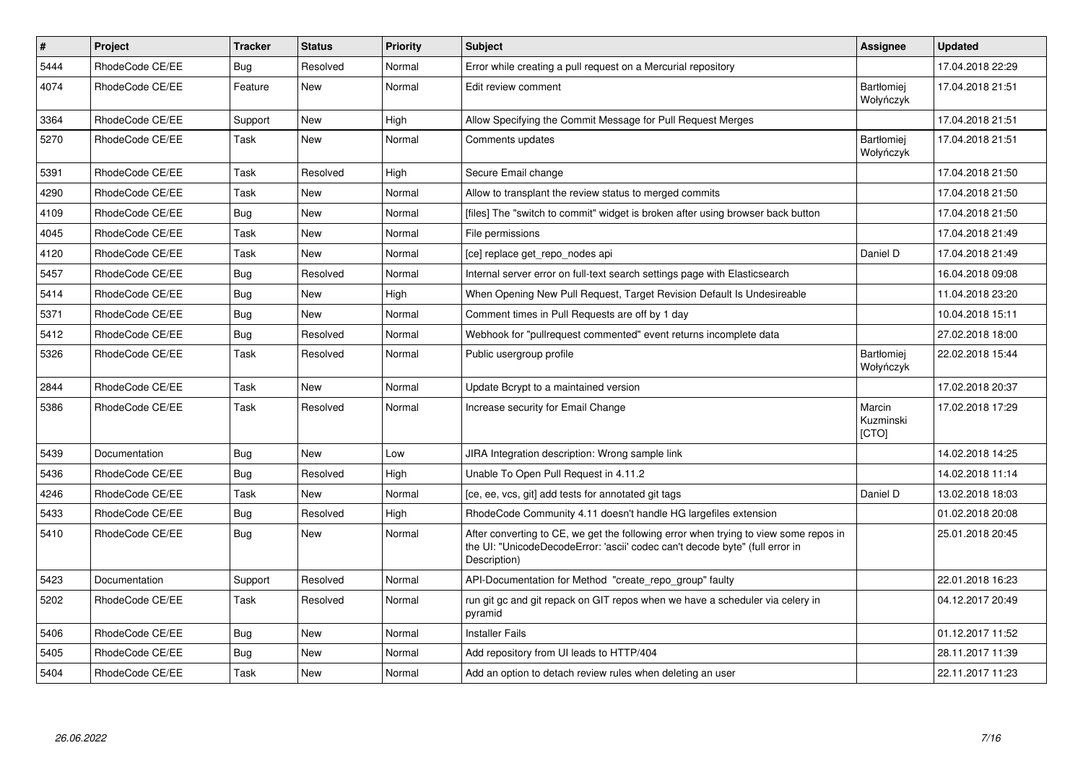| $\pmb{\#}$ | Project         | <b>Tracker</b> | <b>Status</b> | <b>Priority</b> | <b>Subject</b>                                                                                                                                                                       | Assignee                       | <b>Updated</b>   |
|------------|-----------------|----------------|---------------|-----------------|--------------------------------------------------------------------------------------------------------------------------------------------------------------------------------------|--------------------------------|------------------|
| 5444       | RhodeCode CE/EE | Bug            | Resolved      | Normal          | Error while creating a pull request on a Mercurial repository                                                                                                                        |                                | 17.04.2018 22:29 |
| 4074       | RhodeCode CE/EE | Feature        | <b>New</b>    | Normal          | Edit review comment                                                                                                                                                                  | <b>Bartłomiei</b><br>Wołyńczyk | 17.04.2018 21:51 |
| 3364       | RhodeCode CE/EE | Support        | <b>New</b>    | High            | Allow Specifying the Commit Message for Pull Request Merges                                                                                                                          |                                | 17.04.2018 21:51 |
| 5270       | RhodeCode CE/EE | Task           | New           | Normal          | Comments updates                                                                                                                                                                     | Bartłomiej<br>Wołyńczyk        | 17.04.2018 21:51 |
| 5391       | RhodeCode CE/EE | Task           | Resolved      | High            | Secure Email change                                                                                                                                                                  |                                | 17.04.2018 21:50 |
| 4290       | RhodeCode CE/EE | Task           | New           | Normal          | Allow to transplant the review status to merged commits                                                                                                                              |                                | 17.04.2018 21:50 |
| 4109       | RhodeCode CE/EE | <b>Bug</b>     | New           | Normal          | [files] The "switch to commit" widget is broken after using browser back button                                                                                                      |                                | 17.04.2018 21:50 |
| 4045       | RhodeCode CE/EE | Task           | <b>New</b>    | Normal          | File permissions                                                                                                                                                                     |                                | 17.04.2018 21:49 |
| 4120       | RhodeCode CE/EE | Task           | New           | Normal          | [ce] replace get repo nodes api                                                                                                                                                      | Daniel D                       | 17.04.2018 21:49 |
| 5457       | RhodeCode CE/EE | Bug            | Resolved      | Normal          | Internal server error on full-text search settings page with Elasticsearch                                                                                                           |                                | 16.04.2018 09:08 |
| 5414       | RhodeCode CE/EE | Bug            | <b>New</b>    | High            | When Opening New Pull Request, Target Revision Default Is Undesireable                                                                                                               |                                | 11.04.2018 23:20 |
| 5371       | RhodeCode CE/EE | Bug            | New           | Normal          | Comment times in Pull Requests are off by 1 day                                                                                                                                      |                                | 10.04.2018 15:11 |
| 5412       | RhodeCode CE/EE | Bug            | Resolved      | Normal          | Webhook for "pullrequest commented" event returns incomplete data                                                                                                                    |                                | 27.02.2018 18:00 |
| 5326       | RhodeCode CE/EE | Task           | Resolved      | Normal          | Public usergroup profile                                                                                                                                                             | <b>Bartłomiei</b><br>Wołyńczyk | 22.02.2018 15:44 |
| 2844       | RhodeCode CE/EE | Task           | New           | Normal          | Update Bcrypt to a maintained version                                                                                                                                                |                                | 17.02.2018 20:37 |
| 5386       | RhodeCode CE/EE | Task           | Resolved      | Normal          | Increase security for Email Change                                                                                                                                                   | Marcin<br>Kuzminski<br>[CTO]   | 17.02.2018 17:29 |
| 5439       | Documentation   | Bug            | New           | Low             | JIRA Integration description: Wrong sample link                                                                                                                                      |                                | 14.02.2018 14:25 |
| 5436       | RhodeCode CE/EE | Bug            | Resolved      | High            | Unable To Open Pull Request in 4.11.2                                                                                                                                                |                                | 14.02.2018 11:14 |
| 4246       | RhodeCode CE/EE | Task           | <b>New</b>    | Normal          | [ce, ee, vcs, git] add tests for annotated git tags                                                                                                                                  | Daniel D                       | 13.02.2018 18:03 |
| 5433       | RhodeCode CE/EE | Bug            | Resolved      | High            | RhodeCode Community 4.11 doesn't handle HG largefiles extension                                                                                                                      |                                | 01.02.2018 20:08 |
| 5410       | RhodeCode CE/EE | Bug            | New           | Normal          | After converting to CE, we get the following error when trying to view some repos in<br>the UI: "UnicodeDecodeError: 'ascii' codec can't decode byte" (full error in<br>Description) |                                | 25.01.2018 20:45 |
| 5423       | Documentation   | Support        | Resolved      | Normal          | API-Documentation for Method "create_repo_group" faulty                                                                                                                              |                                | 22.01.2018 16:23 |
| 5202       | RhodeCode CE/EE | Task           | Resolved      | Normal          | run git gc and git repack on GIT repos when we have a scheduler via celery in<br>pyramid                                                                                             |                                | 04.12.2017 20:49 |
| 5406       | RhodeCode CE/EE | Bug            | <b>New</b>    | Normal          | <b>Installer Fails</b>                                                                                                                                                               |                                | 01.12.2017 11:52 |
| 5405       | RhodeCode CE/EE | Bug            | New           | Normal          | Add repository from UI leads to HTTP/404                                                                                                                                             |                                | 28.11.2017 11:39 |
| 5404       | RhodeCode CE/EE | Task           | <b>New</b>    | Normal          | Add an option to detach review rules when deleting an user                                                                                                                           |                                | 22.11.2017 11:23 |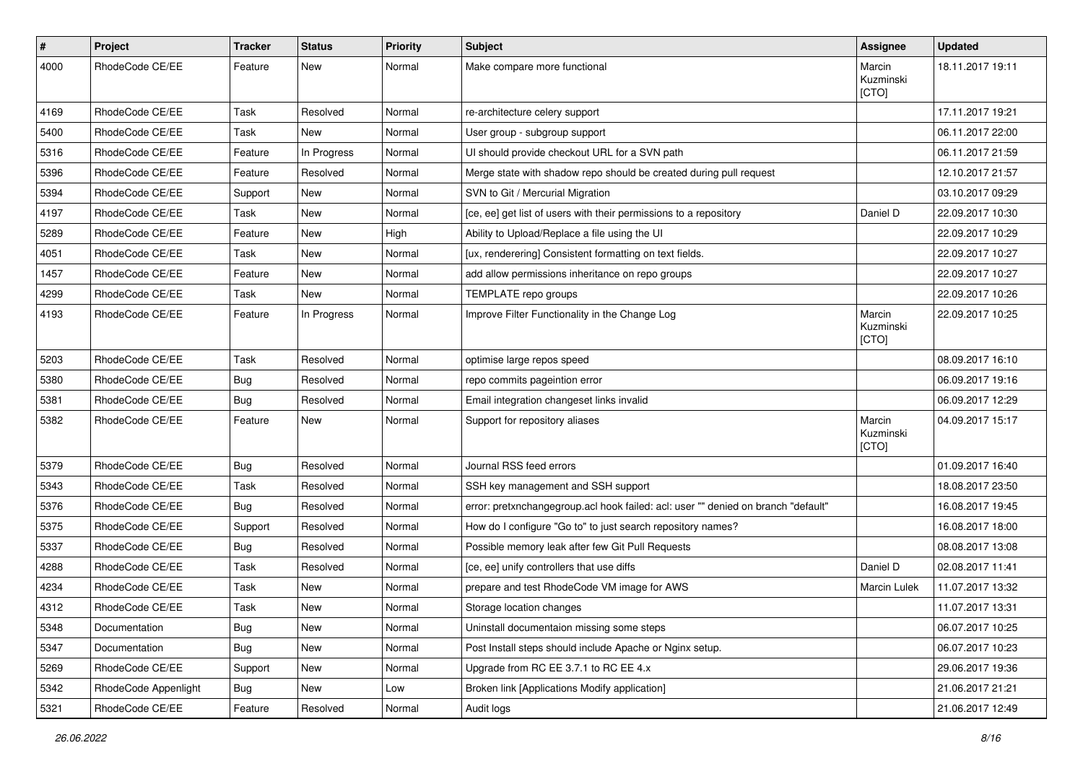| $\pmb{\#}$ | Project              | <b>Tracker</b> | <b>Status</b> | <b>Priority</b> | <b>Subject</b>                                                                    | Assignee                     | <b>Updated</b>   |
|------------|----------------------|----------------|---------------|-----------------|-----------------------------------------------------------------------------------|------------------------------|------------------|
| 4000       | RhodeCode CE/EE      | Feature        | New           | Normal          | Make compare more functional                                                      | Marcin<br>Kuzminski<br>[CTO] | 18.11.2017 19:11 |
| 4169       | RhodeCode CE/EE      | Task           | Resolved      | Normal          | re-architecture celery support                                                    |                              | 17.11.2017 19:21 |
| 5400       | RhodeCode CE/EE      | Task           | <b>New</b>    | Normal          | User group - subgroup support                                                     |                              | 06.11.2017 22:00 |
| 5316       | RhodeCode CE/EE      | Feature        | In Progress   | Normal          | UI should provide checkout URL for a SVN path                                     |                              | 06.11.2017 21:59 |
| 5396       | RhodeCode CE/EE      | Feature        | Resolved      | Normal          | Merge state with shadow repo should be created during pull request                |                              | 12.10.2017 21:57 |
| 5394       | RhodeCode CE/EE      | Support        | New           | Normal          | SVN to Git / Mercurial Migration                                                  |                              | 03.10.2017 09:29 |
| 4197       | RhodeCode CE/EE      | Task           | New           | Normal          | [ce, ee] get list of users with their permissions to a repository                 | Daniel D                     | 22.09.2017 10:30 |
| 5289       | RhodeCode CE/EE      | Feature        | <b>New</b>    | High            | Ability to Upload/Replace a file using the UI                                     |                              | 22.09.2017 10:29 |
| 4051       | RhodeCode CE/EE      | Task           | New           | Normal          | [ux, renderering] Consistent formatting on text fields.                           |                              | 22.09.2017 10:27 |
| 1457       | RhodeCode CE/EE      | Feature        | New           | Normal          | add allow permissions inheritance on repo groups                                  |                              | 22.09.2017 10:27 |
| 4299       | RhodeCode CE/EE      | Task           | New           | Normal          | TEMPLATE repo groups                                                              |                              | 22.09.2017 10:26 |
| 4193       | RhodeCode CE/EE      | Feature        | In Progress   | Normal          | Improve Filter Functionality in the Change Log                                    | Marcin<br>Kuzminski<br>[CTO] | 22.09.2017 10:25 |
| 5203       | RhodeCode CE/EE      | Task           | Resolved      | Normal          | optimise large repos speed                                                        |                              | 08.09.2017 16:10 |
| 5380       | RhodeCode CE/EE      | Bug            | Resolved      | Normal          | repo commits pageintion error                                                     |                              | 06.09.2017 19:16 |
| 5381       | RhodeCode CE/EE      | Bug            | Resolved      | Normal          | Email integration changeset links invalid                                         |                              | 06.09.2017 12:29 |
| 5382       | RhodeCode CE/EE      | Feature        | New           | Normal          | Support for repository aliases                                                    | Marcin<br>Kuzminski<br>[CTO] | 04.09.2017 15:17 |
| 5379       | RhodeCode CE/EE      | <b>Bug</b>     | Resolved      | Normal          | Journal RSS feed errors                                                           |                              | 01.09.2017 16:40 |
| 5343       | RhodeCode CE/EE      | Task           | Resolved      | Normal          | SSH key management and SSH support                                                |                              | 18.08.2017 23:50 |
| 5376       | RhodeCode CE/EE      | <b>Bug</b>     | Resolved      | Normal          | error: pretxnchangegroup.acl hook failed: acl: user "" denied on branch "default" |                              | 16.08.2017 19:45 |
| 5375       | RhodeCode CE/EE      | Support        | Resolved      | Normal          | How do I configure "Go to" to just search repository names?                       |                              | 16.08.2017 18:00 |
| 5337       | RhodeCode CE/EE      | Bug            | Resolved      | Normal          | Possible memory leak after few Git Pull Requests                                  |                              | 08.08.2017 13:08 |
| 4288       | RhodeCode CE/EE      | Task           | Resolved      | Normal          | [ce, ee] unify controllers that use diffs                                         | Daniel D                     | 02.08.2017 11:41 |
| 4234       | RhodeCode CE/EE      | Task           | New           | Normal          | prepare and test RhodeCode VM image for AWS                                       | Marcin Lulek                 | 11.07.2017 13:32 |
| 4312       | RhodeCode CE/EE      | Task           | New           | Normal          | Storage location changes                                                          |                              | 11.07.2017 13:31 |
| 5348       | Documentation        | <b>Bug</b>     | New           | Normal          | Uninstall documentaion missing some steps                                         |                              | 06.07.2017 10:25 |
| 5347       | Documentation        | Bug            | New           | Normal          | Post Install steps should include Apache or Nginx setup.                          |                              | 06.07.2017 10:23 |
| 5269       | RhodeCode CE/EE      | Support        | New           | Normal          | Upgrade from RC EE 3.7.1 to RC EE 4.x                                             |                              | 29.06.2017 19:36 |
| 5342       | RhodeCode Appenlight | Bug            | New           | Low             | Broken link [Applications Modify application]                                     |                              | 21.06.2017 21:21 |
| 5321       | RhodeCode CE/EE      | Feature        | Resolved      | Normal          | Audit logs                                                                        |                              | 21.06.2017 12:49 |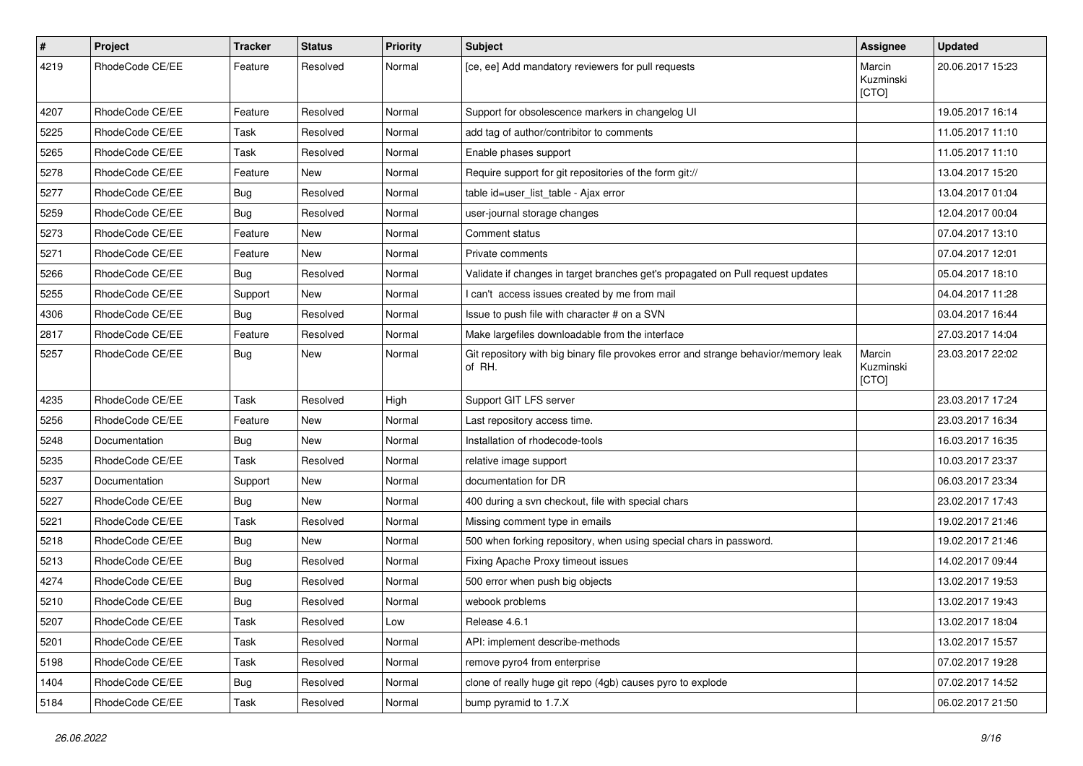| $\pmb{\#}$ | Project         | <b>Tracker</b> | <b>Status</b> | <b>Priority</b> | <b>Subject</b>                                                                                | Assignee                     | <b>Updated</b>   |
|------------|-----------------|----------------|---------------|-----------------|-----------------------------------------------------------------------------------------------|------------------------------|------------------|
| 4219       | RhodeCode CE/EE | Feature        | Resolved      | Normal          | [ce, ee] Add mandatory reviewers for pull requests                                            | Marcin<br>Kuzminski<br>[CTO] | 20.06.2017 15:23 |
| 4207       | RhodeCode CE/EE | Feature        | Resolved      | Normal          | Support for obsolescence markers in changelog UI                                              |                              | 19.05.2017 16:14 |
| 5225       | RhodeCode CE/EE | Task           | Resolved      | Normal          | add tag of author/contribitor to comments                                                     |                              | 11.05.2017 11:10 |
| 5265       | RhodeCode CE/EE | Task           | Resolved      | Normal          | Enable phases support                                                                         |                              | 11.05.2017 11:10 |
| 5278       | RhodeCode CE/EE | Feature        | <b>New</b>    | Normal          | Require support for git repositories of the form git://                                       |                              | 13.04.2017 15:20 |
| 5277       | RhodeCode CE/EE | Bug            | Resolved      | Normal          | table id=user list table - Ajax error                                                         |                              | 13.04.2017 01:04 |
| 5259       | RhodeCode CE/EE | <b>Bug</b>     | Resolved      | Normal          | user-journal storage changes                                                                  |                              | 12.04.2017 00:04 |
| 5273       | RhodeCode CE/EE | Feature        | <b>New</b>    | Normal          | Comment status                                                                                |                              | 07.04.2017 13:10 |
| 5271       | RhodeCode CE/EE | Feature        | <b>New</b>    | Normal          | Private comments                                                                              |                              | 07.04.2017 12:01 |
| 5266       | RhodeCode CE/EE | Bug            | Resolved      | Normal          | Validate if changes in target branches get's propagated on Pull request updates               |                              | 05.04.2017 18:10 |
| 5255       | RhodeCode CE/EE | Support        | New           | Normal          | I can't access issues created by me from mail                                                 |                              | 04.04.2017 11:28 |
| 4306       | RhodeCode CE/EE | Bug            | Resolved      | Normal          | Issue to push file with character # on a SVN                                                  |                              | 03.04.2017 16:44 |
| 2817       | RhodeCode CE/EE | Feature        | Resolved      | Normal          | Make largefiles downloadable from the interface                                               |                              | 27.03.2017 14:04 |
| 5257       | RhodeCode CE/EE | Bug            | New           | Normal          | Git repository with big binary file provokes error and strange behavior/memory leak<br>of RH. | Marcin<br>Kuzminski<br>[CTO] | 23.03.2017 22:02 |
| 4235       | RhodeCode CE/EE | Task           | Resolved      | High            | Support GIT LFS server                                                                        |                              | 23.03.2017 17:24 |
| 5256       | RhodeCode CE/EE | Feature        | <b>New</b>    | Normal          | Last repository access time.                                                                  |                              | 23.03.2017 16:34 |
| 5248       | Documentation   | Bug            | New           | Normal          | Installation of rhodecode-tools                                                               |                              | 16.03.2017 16:35 |
| 5235       | RhodeCode CE/EE | Task           | Resolved      | Normal          | relative image support                                                                        |                              | 10.03.2017 23:37 |
| 5237       | Documentation   | Support        | <b>New</b>    | Normal          | documentation for DR                                                                          |                              | 06.03.2017 23:34 |
| 5227       | RhodeCode CE/EE | Bug            | New           | Normal          | 400 during a svn checkout, file with special chars                                            |                              | 23.02.2017 17:43 |
| 5221       | RhodeCode CE/EE | Task           | Resolved      | Normal          | Missing comment type in emails                                                                |                              | 19.02.2017 21:46 |
| 5218       | RhodeCode CE/EE | Bug            | New           | Normal          | 500 when forking repository, when using special chars in password.                            |                              | 19.02.2017 21:46 |
| 5213       | RhodeCode CE/EE | <b>Bug</b>     | Resolved      | Normal          | Fixing Apache Proxy timeout issues                                                            |                              | 14.02.2017 09:44 |
| 4274       | RhodeCode CE/EE | Bug            | Resolved      | Normal          | 500 error when push big objects                                                               |                              | 13.02.2017 19:53 |
| 5210       | RhodeCode CE/EE | <b>Bug</b>     | Resolved      | Normal          | webook problems                                                                               |                              | 13.02.2017 19:43 |
| 5207       | RhodeCode CE/EE | Task           | Resolved      | Low             | Release 4.6.1                                                                                 |                              | 13.02.2017 18:04 |
| 5201       | RhodeCode CE/EE | Task           | Resolved      | Normal          | API: implement describe-methods                                                               |                              | 13.02.2017 15:57 |
| 5198       | RhodeCode CE/EE | Task           | Resolved      | Normal          | remove pyro4 from enterprise                                                                  |                              | 07.02.2017 19:28 |
| 1404       | RhodeCode CE/EE | <b>Bug</b>     | Resolved      | Normal          | clone of really huge git repo (4gb) causes pyro to explode                                    |                              | 07.02.2017 14:52 |
| 5184       | RhodeCode CE/EE | Task           | Resolved      | Normal          | bump pyramid to 1.7.X                                                                         |                              | 06.02.2017 21:50 |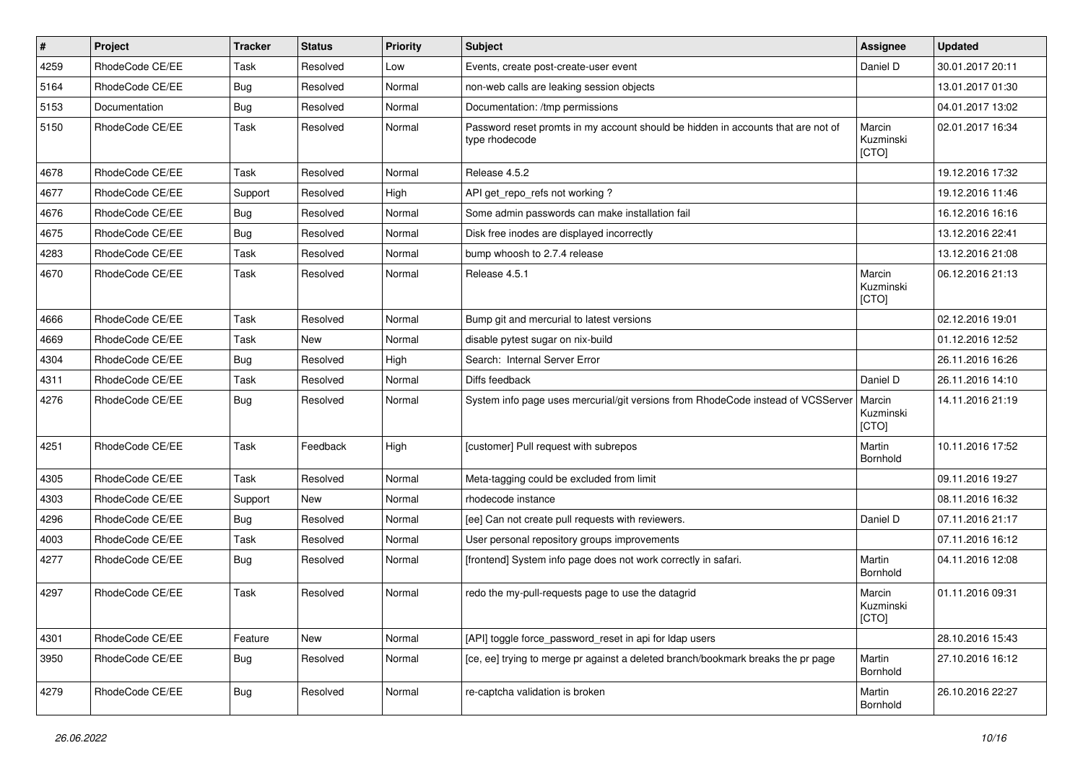| $\vert$ # | Project         | <b>Tracker</b> | <b>Status</b> | <b>Priority</b> | <b>Subject</b>                                                                                     | Assignee                     | <b>Updated</b>   |
|-----------|-----------------|----------------|---------------|-----------------|----------------------------------------------------------------------------------------------------|------------------------------|------------------|
| 4259      | RhodeCode CE/EE | Task           | Resolved      | Low             | Events, create post-create-user event                                                              | Daniel D                     | 30.01.2017 20:11 |
| 5164      | RhodeCode CE/EE | Bug            | Resolved      | Normal          | non-web calls are leaking session objects                                                          |                              | 13.01.2017 01:30 |
| 5153      | Documentation   | Bug            | Resolved      | Normal          | Documentation: /tmp permissions                                                                    |                              | 04.01.2017 13:02 |
| 5150      | RhodeCode CE/EE | Task           | Resolved      | Normal          | Password reset promts in my account should be hidden in accounts that are not of<br>type rhodecode | Marcin<br>Kuzminski<br>[CTO] | 02.01.2017 16:34 |
| 4678      | RhodeCode CE/EE | Task           | Resolved      | Normal          | Release 4.5.2                                                                                      |                              | 19.12.2016 17:32 |
| 4677      | RhodeCode CE/EE | Support        | Resolved      | High            | API get_repo_refs not working?                                                                     |                              | 19.12.2016 11:46 |
| 4676      | RhodeCode CE/EE | Bug            | Resolved      | Normal          | Some admin passwords can make installation fail                                                    |                              | 16.12.2016 16:16 |
| 4675      | RhodeCode CE/EE | Bug            | Resolved      | Normal          | Disk free inodes are displayed incorrectly                                                         |                              | 13.12.2016 22:41 |
| 4283      | RhodeCode CE/EE | Task           | Resolved      | Normal          | bump whoosh to 2.7.4 release                                                                       |                              | 13.12.2016 21:08 |
| 4670      | RhodeCode CE/EE | Task           | Resolved      | Normal          | Release 4.5.1                                                                                      | Marcin<br>Kuzminski<br>[CTO] | 06.12.2016 21:13 |
| 4666      | RhodeCode CE/EE | Task           | Resolved      | Normal          | Bump git and mercurial to latest versions                                                          |                              | 02.12.2016 19:01 |
| 4669      | RhodeCode CE/EE | Task           | New           | Normal          | disable pytest sugar on nix-build                                                                  |                              | 01.12.2016 12:52 |
| 4304      | RhodeCode CE/EE | Bug            | Resolved      | High            | Search: Internal Server Error                                                                      |                              | 26.11.2016 16:26 |
| 4311      | RhodeCode CE/EE | <b>Task</b>    | Resolved      | Normal          | Diffs feedback                                                                                     | Daniel D                     | 26.11.2016 14:10 |
| 4276      | RhodeCode CE/EE | Bug            | Resolved      | Normal          | System info page uses mercurial/git versions from RhodeCode instead of VCSServer                   | Marcin<br>Kuzminski<br>[CTO] | 14.11.2016 21:19 |
| 4251      | RhodeCode CE/EE | Task           | Feedback      | High            | [customer] Pull request with subrepos                                                              | Martin<br>Bornhold           | 10.11.2016 17:52 |
| 4305      | RhodeCode CE/EE | Task           | Resolved      | Normal          | Meta-tagging could be excluded from limit                                                          |                              | 09.11.2016 19:27 |
| 4303      | RhodeCode CE/EE | Support        | New           | Normal          | rhodecode instance                                                                                 |                              | 08.11.2016 16:32 |
| 4296      | RhodeCode CE/EE | Bug            | Resolved      | Normal          | [ee] Can not create pull requests with reviewers.                                                  | Daniel D                     | 07.11.2016 21:17 |
| 4003      | RhodeCode CE/EE | Task           | Resolved      | Normal          | User personal repository groups improvements                                                       |                              | 07.11.2016 16:12 |
| 4277      | RhodeCode CE/EE | Bug            | Resolved      | Normal          | [frontend] System info page does not work correctly in safari.                                     | Martin<br>Bornhold           | 04.11.2016 12:08 |
| 4297      | RhodeCode CE/EE | Task           | Resolved      | Normal          | redo the my-pull-requests page to use the datagrid                                                 | Marcin<br>Kuzminski<br>[CTO] | 01.11.2016 09:31 |
| 4301      | RhodeCode CE/EE | Feature        | New           | Normal          | [API] toggle force password reset in api for Idap users                                            |                              | 28.10.2016 15:43 |
| 3950      | RhodeCode CE/EE | Bug            | Resolved      | Normal          | [ce, ee] trying to merge pr against a deleted branch/bookmark breaks the pr page                   | Martin<br>Bornhold           | 27.10.2016 16:12 |
| 4279      | RhodeCode CE/EE | <b>Bug</b>     | Resolved      | Normal          | re-captcha validation is broken                                                                    | Martin<br>Bornhold           | 26.10.2016 22:27 |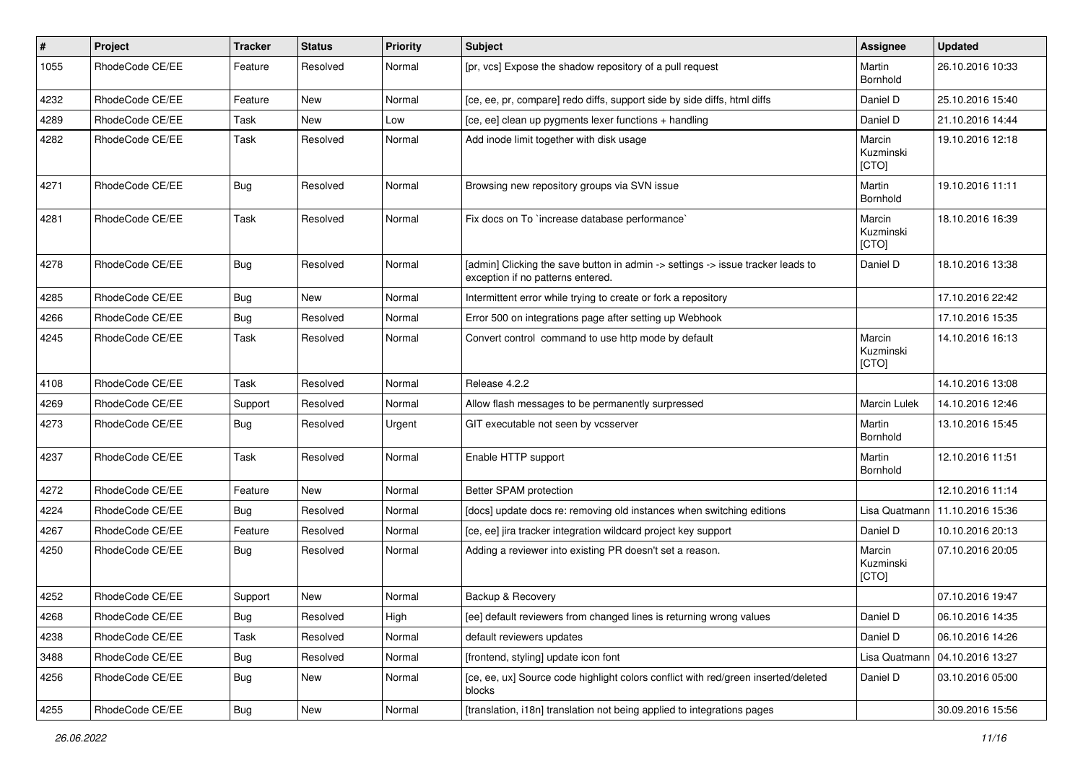| $\#$ | Project         | <b>Tracker</b> | <b>Status</b> | <b>Priority</b> | <b>Subject</b>                                                                                                       | Assignee                     | <b>Updated</b>   |
|------|-----------------|----------------|---------------|-----------------|----------------------------------------------------------------------------------------------------------------------|------------------------------|------------------|
| 1055 | RhodeCode CE/EE | Feature        | Resolved      | Normal          | [pr, vcs] Expose the shadow repository of a pull request                                                             | Martin<br>Bornhold           | 26.10.2016 10:33 |
| 4232 | RhodeCode CE/EE | Feature        | New           | Normal          | [ce, ee, pr, compare] redo diffs, support side by side diffs, html diffs                                             | Daniel D                     | 25.10.2016 15:40 |
| 4289 | RhodeCode CE/EE | Task           | New           | Low             | [ce, ee] clean up pygments lexer functions + handling                                                                | Daniel D                     | 21.10.2016 14:44 |
| 4282 | RhodeCode CE/EE | Task           | Resolved      | Normal          | Add inode limit together with disk usage                                                                             | Marcin<br>Kuzminski<br>[CTO] | 19.10.2016 12:18 |
| 4271 | RhodeCode CE/EE | Bug            | Resolved      | Normal          | Browsing new repository groups via SVN issue                                                                         | Martin<br>Bornhold           | 19.10.2016 11:11 |
| 4281 | RhodeCode CE/EE | Task           | Resolved      | Normal          | Fix docs on To `increase database performance`                                                                       | Marcin<br>Kuzminski<br>[CTO] | 18.10.2016 16:39 |
| 4278 | RhodeCode CE/EE | <b>Bug</b>     | Resolved      | Normal          | [admin] Clicking the save button in admin -> settings -> issue tracker leads to<br>exception if no patterns entered. | Daniel D                     | 18.10.2016 13:38 |
| 4285 | RhodeCode CE/EE | <b>Bug</b>     | New           | Normal          | Intermittent error while trying to create or fork a repository                                                       |                              | 17.10.2016 22:42 |
| 4266 | RhodeCode CE/EE | <b>Bug</b>     | Resolved      | Normal          | Error 500 on integrations page after setting up Webhook                                                              |                              | 17.10.2016 15:35 |
| 4245 | RhodeCode CE/EE | Task           | Resolved      | Normal          | Convert control command to use http mode by default                                                                  | Marcin<br>Kuzminski<br>[CTO] | 14.10.2016 16:13 |
| 4108 | RhodeCode CE/EE | Task           | Resolved      | Normal          | Release 4.2.2                                                                                                        |                              | 14.10.2016 13:08 |
| 4269 | RhodeCode CE/EE | Support        | Resolved      | Normal          | Allow flash messages to be permanently surpressed                                                                    | Marcin Lulek                 | 14.10.2016 12:46 |
| 4273 | RhodeCode CE/EE | Bug            | Resolved      | Urgent          | GIT executable not seen by vcsserver                                                                                 | Martin<br>Bornhold           | 13.10.2016 15:45 |
| 4237 | RhodeCode CE/EE | Task           | Resolved      | Normal          | Enable HTTP support                                                                                                  | Martin<br>Bornhold           | 12.10.2016 11:51 |
| 4272 | RhodeCode CE/EE | Feature        | New           | Normal          | Better SPAM protection                                                                                               |                              | 12.10.2016 11:14 |
| 4224 | RhodeCode CE/EE | <b>Bug</b>     | Resolved      | Normal          | [docs] update docs re: removing old instances when switching editions                                                | Lisa Quatmann                | 11.10.2016 15:36 |
| 4267 | RhodeCode CE/EE | Feature        | Resolved      | Normal          | [ce, ee] jira tracker integration wildcard project key support                                                       | Daniel D                     | 10.10.2016 20:13 |
| 4250 | RhodeCode CE/EE | <b>Bug</b>     | Resolved      | Normal          | Adding a reviewer into existing PR doesn't set a reason.                                                             | Marcin<br>Kuzminski<br>[CTO] | 07.10.2016 20:05 |
| 4252 | RhodeCode CE/EE | Support        | New           | Normal          | Backup & Recovery                                                                                                    |                              | 07.10.2016 19:47 |
| 4268 | RhodeCode CE/EE | <b>Bug</b>     | Resolved      | High            | [ee] default reviewers from changed lines is returning wrong values                                                  | Daniel D                     | 06.10.2016 14:35 |
| 4238 | RhodeCode CE/EE | Task           | Resolved      | Normal          | default reviewers updates                                                                                            | Daniel D                     | 06.10.2016 14:26 |
| 3488 | RhodeCode CE/EE | Bug            | Resolved      | Normal          | [frontend, styling] update icon font                                                                                 | Lisa Quatmann                | 04.10.2016 13:27 |
| 4256 | RhodeCode CE/EE | Bug            | New           | Normal          | [ce, ee, ux] Source code highlight colors conflict with red/green inserted/deleted<br>blocks                         | Daniel D                     | 03.10.2016 05:00 |
| 4255 | RhodeCode CE/EE | Bug            | New           | Normal          | [translation, i18n] translation not being applied to integrations pages                                              |                              | 30.09.2016 15:56 |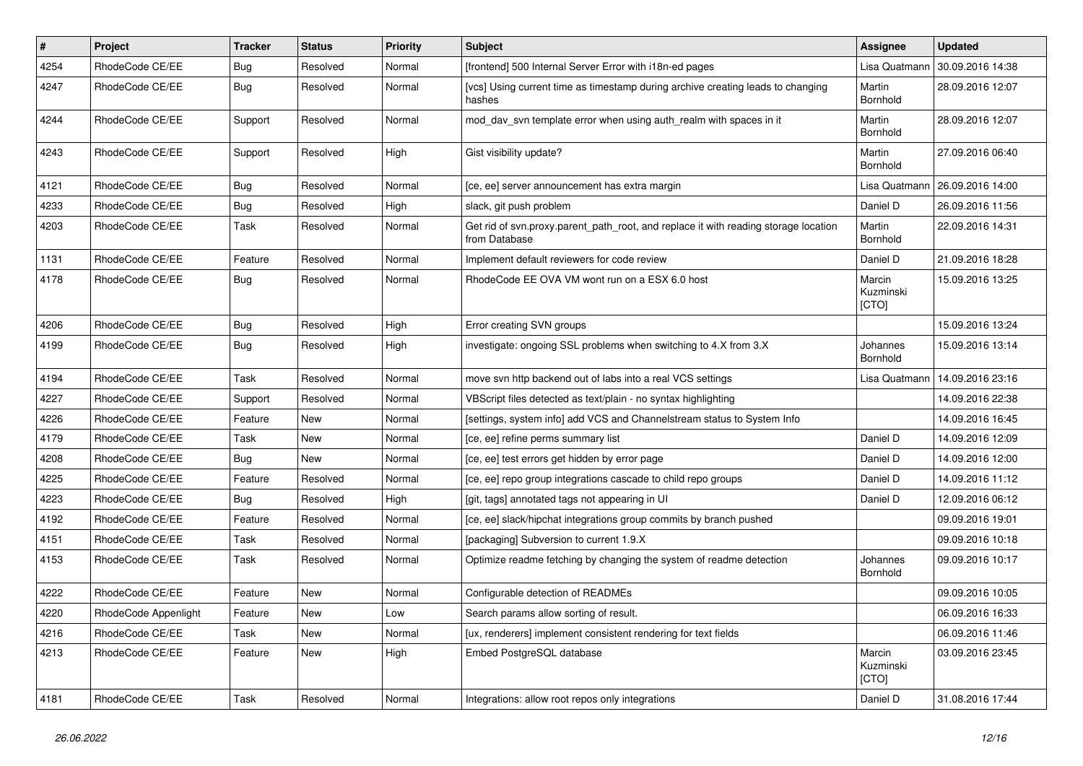| $\vert$ # | <b>Project</b>       | <b>Tracker</b> | <b>Status</b> | <b>Priority</b> | <b>Subject</b>                                                                                       | Assignee                     | <b>Updated</b>   |
|-----------|----------------------|----------------|---------------|-----------------|------------------------------------------------------------------------------------------------------|------------------------------|------------------|
| 4254      | RhodeCode CE/EE      | Bug            | Resolved      | Normal          | [frontend] 500 Internal Server Error with i18n-ed pages                                              | Lisa Quatmann                | 30.09.2016 14:38 |
| 4247      | RhodeCode CE/EE      | Bug            | Resolved      | Normal          | [vcs] Using current time as timestamp during archive creating leads to changing<br>hashes            | Martin<br>Bornhold           | 28.09.2016 12:07 |
| 4244      | RhodeCode CE/EE      | Support        | Resolved      | Normal          | mod_dav_svn template error when using auth_realm with spaces in it                                   | Martin<br>Bornhold           | 28.09.2016 12:07 |
| 4243      | RhodeCode CE/EE      | Support        | Resolved      | High            | Gist visibility update?                                                                              | Martin<br>Bornhold           | 27.09.2016 06:40 |
| 4121      | RhodeCode CE/EE      | Bug            | Resolved      | Normal          | [ce, ee] server announcement has extra margin                                                        | Lisa Quatmann                | 26.09.2016 14:00 |
| 4233      | RhodeCode CE/EE      | Bug            | Resolved      | High            | slack, git push problem                                                                              | Daniel D                     | 26.09.2016 11:56 |
| 4203      | RhodeCode CE/EE      | Task           | Resolved      | Normal          | Get rid of svn.proxy.parent_path_root, and replace it with reading storage location<br>from Database | Martin<br>Bornhold           | 22.09.2016 14:31 |
| 1131      | RhodeCode CE/EE      | Feature        | Resolved      | Normal          | Implement default reviewers for code review                                                          | Daniel D                     | 21.09.2016 18:28 |
| 4178      | RhodeCode CE/EE      | Bug            | Resolved      | Normal          | RhodeCode EE OVA VM wont run on a ESX 6.0 host                                                       | Marcin<br>Kuzminski<br>[CTO] | 15.09.2016 13:25 |
| 4206      | RhodeCode CE/EE      | Bug            | Resolved      | High            | Error creating SVN groups                                                                            |                              | 15.09.2016 13:24 |
| 4199      | RhodeCode CE/EE      | Bug            | Resolved      | High            | investigate: ongoing SSL problems when switching to 4.X from 3.X                                     | Johannes<br>Bornhold         | 15.09.2016 13:14 |
| 4194      | RhodeCode CE/EE      | Task           | Resolved      | Normal          | move svn http backend out of labs into a real VCS settings                                           | Lisa Quatmann                | 14.09.2016 23:16 |
| 4227      | RhodeCode CE/EE      | Support        | Resolved      | Normal          | VBScript files detected as text/plain - no syntax highlighting                                       |                              | 14.09.2016 22:38 |
| 4226      | RhodeCode CE/EE      | Feature        | New           | Normal          | [settings, system info] add VCS and Channelstream status to System Info                              |                              | 14.09.2016 16:45 |
| 4179      | RhodeCode CE/EE      | Task           | New           | Normal          | [ce, ee] refine perms summary list                                                                   | Daniel D                     | 14.09.2016 12:09 |
| 4208      | RhodeCode CE/EE      | Bug            | New           | Normal          | [ce, ee] test errors get hidden by error page                                                        | Daniel D                     | 14.09.2016 12:00 |
| 4225      | RhodeCode CE/EE      | Feature        | Resolved      | Normal          | [ce, ee] repo group integrations cascade to child repo groups                                        | Daniel D                     | 14.09.2016 11:12 |
| 4223      | RhodeCode CE/EE      | Bug            | Resolved      | High            | [git, tags] annotated tags not appearing in UI                                                       | Daniel D                     | 12.09.2016 06:12 |
| 4192      | RhodeCode CE/EE      | Feature        | Resolved      | Normal          | [ce, ee] slack/hipchat integrations group commits by branch pushed                                   |                              | 09.09.2016 19:01 |
| 4151      | RhodeCode CE/EE      | Task           | Resolved      | Normal          | [packaging] Subversion to current 1.9.X                                                              |                              | 09.09.2016 10:18 |
| 4153      | RhodeCode CE/EE      | Task           | Resolved      | Normal          | Optimize readme fetching by changing the system of readme detection                                  | Johannes<br>Bornhold         | 09.09.2016 10:17 |
| 4222      | RhodeCode CE/EE      | Feature        | New           | Normal          | Configurable detection of READMEs                                                                    |                              | 09.09.2016 10:05 |
| 4220      | RhodeCode Appenlight | Feature        | New           | Low             | Search params allow sorting of result.                                                               |                              | 06.09.2016 16:33 |
| 4216      | RhodeCode CE/EE      | Task           | New           | Normal          | [ux, renderers] implement consistent rendering for text fields                                       |                              | 06.09.2016 11:46 |
| 4213      | RhodeCode CE/EE      | Feature        | New           | High            | Embed PostgreSQL database                                                                            | Marcin<br>Kuzminski<br>[CTO] | 03.09.2016 23:45 |
| 4181      | RhodeCode CE/EE      | Task           | Resolved      | Normal          | Integrations: allow root repos only integrations                                                     | Daniel D                     | 31.08.2016 17:44 |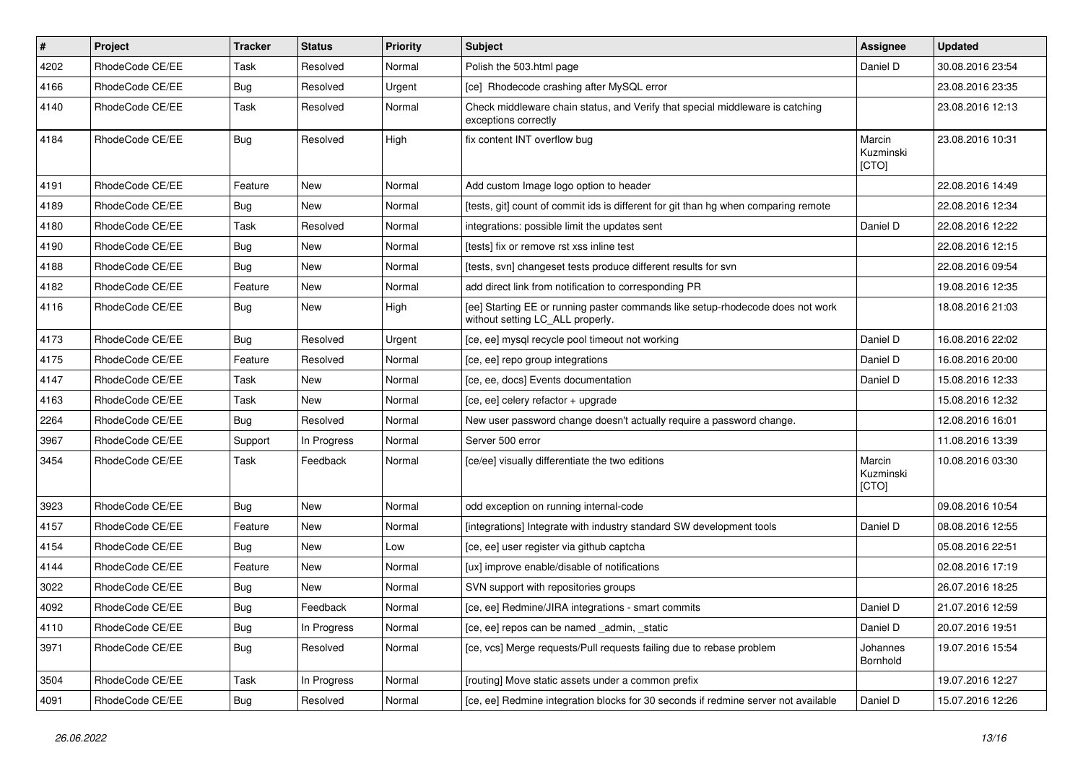| $\vert$ # | Project         | <b>Tracker</b> | <b>Status</b> | <b>Priority</b> | Subject                                                                                                            | <b>Assignee</b>              | <b>Updated</b>   |
|-----------|-----------------|----------------|---------------|-----------------|--------------------------------------------------------------------------------------------------------------------|------------------------------|------------------|
| 4202      | RhodeCode CE/EE | Task           | Resolved      | Normal          | Polish the 503.html page                                                                                           | Daniel D                     | 30.08.2016 23:54 |
| 4166      | RhodeCode CE/EE | Bug            | Resolved      | Urgent          | [ce] Rhodecode crashing after MySQL error                                                                          |                              | 23.08.2016 23:35 |
| 4140      | RhodeCode CE/EE | Task           | Resolved      | Normal          | Check middleware chain status, and Verify that special middleware is catching<br>exceptions correctly              |                              | 23.08.2016 12:13 |
| 4184      | RhodeCode CE/EE | Bug            | Resolved      | High            | fix content INT overflow bug                                                                                       | Marcin<br>Kuzminski<br>[CTO] | 23.08.2016 10:31 |
| 4191      | RhodeCode CE/EE | Feature        | <b>New</b>    | Normal          | Add custom Image logo option to header                                                                             |                              | 22.08.2016 14:49 |
| 4189      | RhodeCode CE/EE | Bug            | <b>New</b>    | Normal          | Itests, git] count of commit ids is different for git than hg when comparing remote                                |                              | 22.08.2016 12:34 |
| 4180      | RhodeCode CE/EE | Task           | Resolved      | Normal          | integrations: possible limit the updates sent                                                                      | Daniel D                     | 22.08.2016 12:22 |
| 4190      | RhodeCode CE/EE | Bug            | New           | Normal          | [tests] fix or remove rst xss inline test                                                                          |                              | 22.08.2016 12:15 |
| 4188      | RhodeCode CE/EE | Bug            | New           | Normal          | [tests, svn] changeset tests produce different results for svn                                                     |                              | 22.08.2016 09:54 |
| 4182      | RhodeCode CE/EE | Feature        | <b>New</b>    | Normal          | add direct link from notification to corresponding PR                                                              |                              | 19.08.2016 12:35 |
| 4116      | RhodeCode CE/EE | Bug            | New           | High            | [ee] Starting EE or running paster commands like setup-rhodecode does not work<br>without setting LC ALL properly. |                              | 18.08.2016 21:03 |
| 4173      | RhodeCode CE/EE | <b>Bug</b>     | Resolved      | Urgent          | [ce, ee] mysql recycle pool timeout not working                                                                    | Daniel D                     | 16.08.2016 22:02 |
| 4175      | RhodeCode CE/EE | Feature        | Resolved      | Normal          | [ce, ee] repo group integrations                                                                                   | Daniel D                     | 16.08.2016 20:00 |
| 4147      | RhodeCode CE/EE | Task           | <b>New</b>    | Normal          | [ce, ee, docs] Events documentation                                                                                | Daniel D                     | 15.08.2016 12:33 |
| 4163      | RhodeCode CE/EE | Task           | New           | Normal          | [ce, ee] celery refactor + upgrade                                                                                 |                              | 15.08.2016 12:32 |
| 2264      | RhodeCode CE/EE | Bug            | Resolved      | Normal          | New user password change doesn't actually require a password change.                                               |                              | 12.08.2016 16:01 |
| 3967      | RhodeCode CE/EE | Support        | In Progress   | Normal          | Server 500 error                                                                                                   |                              | 11.08.2016 13:39 |
| 3454      | RhodeCode CE/EE | Task           | Feedback      | Normal          | [ce/ee] visually differentiate the two editions                                                                    | Marcin<br>Kuzminski<br>[CTO] | 10.08.2016 03:30 |
| 3923      | RhodeCode CE/EE | Bug            | <b>New</b>    | Normal          | odd exception on running internal-code                                                                             |                              | 09.08.2016 10:54 |
| 4157      | RhodeCode CE/EE | Feature        | <b>New</b>    | Normal          | [integrations] Integrate with industry standard SW development tools                                               | Daniel D                     | 08.08.2016 12:55 |
| 4154      | RhodeCode CE/EE | Bug            | New           | Low             | [ce, ee] user register via github captcha                                                                          |                              | 05.08.2016 22:51 |
| 4144      | RhodeCode CE/EE | Feature        | New           | Normal          | [ux] improve enable/disable of notifications                                                                       |                              | 02.08.2016 17:19 |
| 3022      | RhodeCode CE/EE | Bug            | <b>New</b>    | Normal          | SVN support with repositories groups                                                                               |                              | 26.07.2016 18:25 |
| 4092      | RhodeCode CE/EE | Bug            | Feedback      | Normal          | [ce, ee] Redmine/JIRA integrations - smart commits                                                                 | Daniel D                     | 21.07.2016 12:59 |
| 4110      | RhodeCode CE/EE | Bug            | In Progress   | Normal          | [ce, ee] repos can be named _admin, _static                                                                        | Daniel D                     | 20.07.2016 19:51 |
| 3971      | RhodeCode CE/EE | <b>Bug</b>     | Resolved      | Normal          | [ce, vcs] Merge requests/Pull requests failing due to rebase problem                                               | Johannes<br>Bornhold         | 19.07.2016 15:54 |
| 3504      | RhodeCode CE/EE | Task           | In Progress   | Normal          | [routing] Move static assets under a common prefix                                                                 |                              | 19.07.2016 12:27 |
| 4091      | RhodeCode CE/EE | <b>Bug</b>     | Resolved      | Normal          | [ce, ee] Redmine integration blocks for 30 seconds if redmine server not available                                 | Daniel D                     | 15.07.2016 12:26 |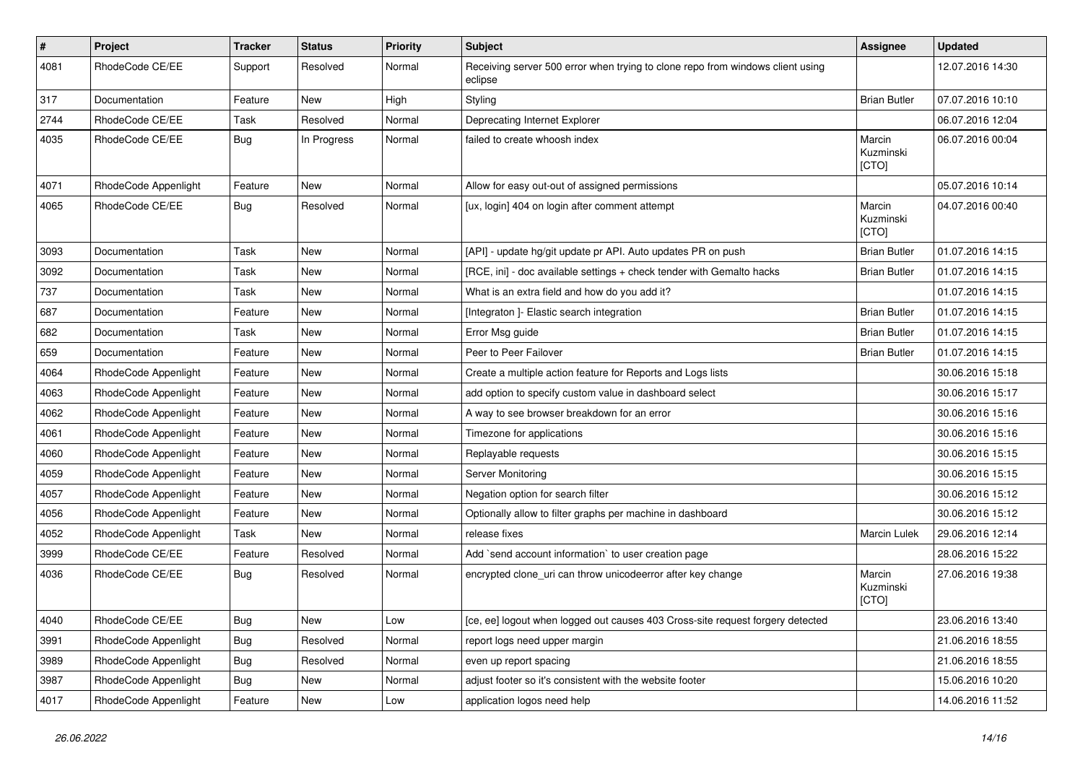| $\sharp$ | <b>Project</b>       | <b>Tracker</b> | <b>Status</b> | <b>Priority</b> | Subject                                                                                   | Assignee                     | <b>Updated</b>   |
|----------|----------------------|----------------|---------------|-----------------|-------------------------------------------------------------------------------------------|------------------------------|------------------|
| 4081     | RhodeCode CE/EE      | Support        | Resolved      | Normal          | Receiving server 500 error when trying to clone repo from windows client using<br>eclipse |                              | 12.07.2016 14:30 |
| 317      | Documentation        | Feature        | New           | High            | Styling                                                                                   | <b>Brian Butler</b>          | 07.07.2016 10:10 |
| 2744     | RhodeCode CE/EE      | Task           | Resolved      | Normal          | Deprecating Internet Explorer                                                             |                              | 06.07.2016 12:04 |
| 4035     | RhodeCode CE/EE      | <b>Bug</b>     | In Progress   | Normal          | failed to create whoosh index                                                             | Marcin<br>Kuzminski<br>[CTO] | 06.07.2016 00:04 |
| 4071     | RhodeCode Appenlight | Feature        | <b>New</b>    | Normal          | Allow for easy out-out of assigned permissions                                            |                              | 05.07.2016 10:14 |
| 4065     | RhodeCode CE/EE      | <b>Bug</b>     | Resolved      | Normal          | [ux, login] 404 on login after comment attempt                                            | Marcin<br>Kuzminski<br>[CTO] | 04.07.2016 00:40 |
| 3093     | Documentation        | Task           | New           | Normal          | [API] - update hg/git update pr API. Auto updates PR on push                              | <b>Brian Butler</b>          | 01.07.2016 14:15 |
| 3092     | Documentation        | Task           | New           | Normal          | [RCE, ini] - doc available settings + check tender with Gemalto hacks                     | <b>Brian Butler</b>          | 01.07.2016 14:15 |
| 737      | Documentation        | Task           | New           | Normal          | What is an extra field and how do you add it?                                             |                              | 01.07.2016 14:15 |
| 687      | Documentation        | Feature        | New           | Normal          | [Integraton] - Elastic search integration                                                 | <b>Brian Butler</b>          | 01.07.2016 14:15 |
| 682      | Documentation        | Task           | New           | Normal          | Error Msg guide                                                                           | <b>Brian Butler</b>          | 01.07.2016 14:15 |
| 659      | Documentation        | Feature        | New           | Normal          | Peer to Peer Failover                                                                     | <b>Brian Butler</b>          | 01.07.2016 14:15 |
| 4064     | RhodeCode Appenlight | Feature        | New           | Normal          | Create a multiple action feature for Reports and Logs lists                               |                              | 30.06.2016 15:18 |
| 4063     | RhodeCode Appenlight | Feature        | New           | Normal          | add option to specify custom value in dashboard select                                    |                              | 30.06.2016 15:17 |
| 4062     | RhodeCode Appenlight | Feature        | New           | Normal          | A way to see browser breakdown for an error                                               |                              | 30.06.2016 15:16 |
| 4061     | RhodeCode Appenlight | Feature        | New           | Normal          | Timezone for applications                                                                 |                              | 30.06.2016 15:16 |
| 4060     | RhodeCode Appenlight | Feature        | New           | Normal          | Replayable requests                                                                       |                              | 30.06.2016 15:15 |
| 4059     | RhodeCode Appenlight | Feature        | New           | Normal          | Server Monitoring                                                                         |                              | 30.06.2016 15:15 |
| 4057     | RhodeCode Appenlight | Feature        | New           | Normal          | Negation option for search filter                                                         |                              | 30.06.2016 15:12 |
| 4056     | RhodeCode Appenlight | Feature        | New           | Normal          | Optionally allow to filter graphs per machine in dashboard                                |                              | 30.06.2016 15:12 |
| 4052     | RhodeCode Appenlight | Task           | New           | Normal          | release fixes                                                                             | Marcin Lulek                 | 29.06.2016 12:14 |
| 3999     | RhodeCode CE/EE      | Feature        | Resolved      | Normal          | Add `send account information` to user creation page                                      |                              | 28.06.2016 15:22 |
| 4036     | RhodeCode CE/EE      | Bug            | Resolved      | Normal          | encrypted clone_uri can throw unicodeerror after key change                               | Marcin<br>Kuzminski<br>[CTO] | 27.06.2016 19:38 |
| 4040     | RhodeCode CE/EE      | Bug            | New           | Low             | [ce, ee] logout when logged out causes 403 Cross-site request forgery detected            |                              | 23.06.2016 13:40 |
| 3991     | RhodeCode Appenlight | Bug            | Resolved      | Normal          | report logs need upper margin                                                             |                              | 21.06.2016 18:55 |
| 3989     | RhodeCode Appenlight | Bug            | Resolved      | Normal          | even up report spacing                                                                    |                              | 21.06.2016 18:55 |
| 3987     | RhodeCode Appenlight | Bug            | New           | Normal          | adjust footer so it's consistent with the website footer                                  |                              | 15.06.2016 10:20 |
| 4017     | RhodeCode Appenlight | Feature        | New           | Low             | application logos need help                                                               |                              | 14.06.2016 11:52 |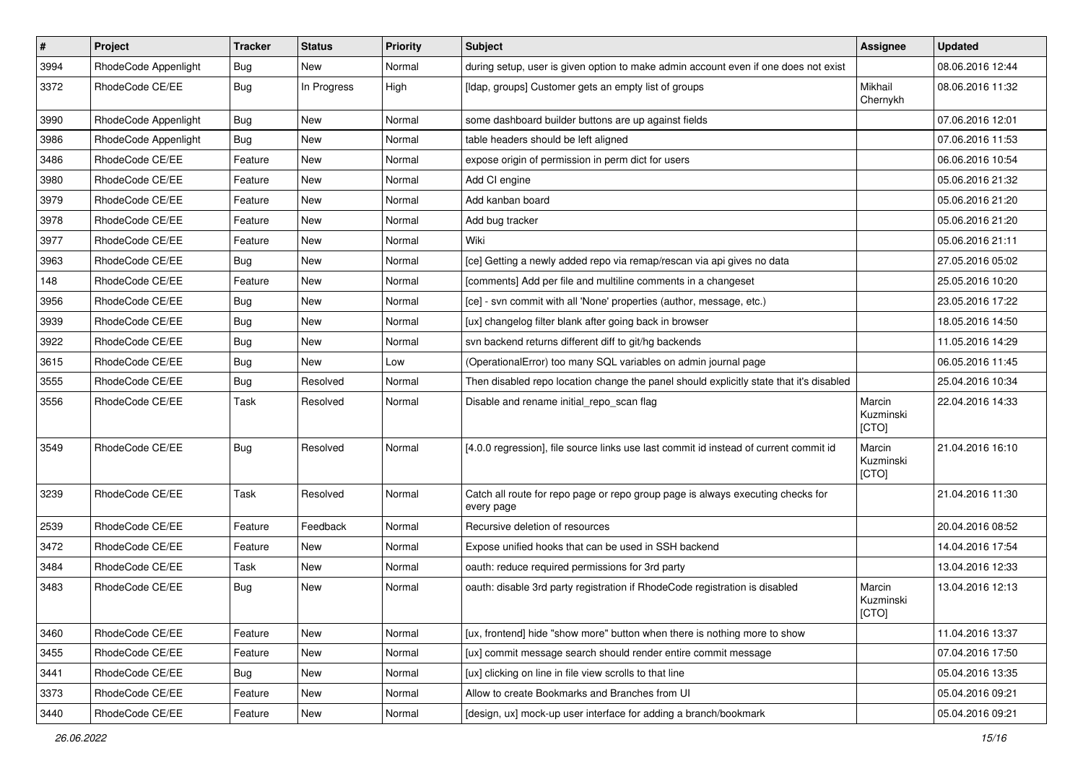| $\vert$ # | Project              | <b>Tracker</b> | <b>Status</b> | <b>Priority</b> | <b>Subject</b>                                                                                | <b>Assignee</b>              | <b>Updated</b>   |
|-----------|----------------------|----------------|---------------|-----------------|-----------------------------------------------------------------------------------------------|------------------------------|------------------|
| 3994      | RhodeCode Appenlight | Bug            | New           | Normal          | during setup, user is given option to make admin account even if one does not exist           |                              | 08.06.2016 12:44 |
| 3372      | RhodeCode CE/EE      | Bug            | In Progress   | High            | [Idap, groups] Customer gets an empty list of groups                                          | Mikhail<br>Chernykh          | 08.06.2016 11:32 |
| 3990      | RhodeCode Appenlight | Bug            | New           | Normal          | some dashboard builder buttons are up against fields                                          |                              | 07.06.2016 12:01 |
| 3986      | RhodeCode Appenlight | Bug            | <b>New</b>    | Normal          | table headers should be left aligned                                                          |                              | 07.06.2016 11:53 |
| 3486      | RhodeCode CE/EE      | Feature        | New           | Normal          | expose origin of permission in perm dict for users                                            |                              | 06.06.2016 10:54 |
| 3980      | RhodeCode CE/EE      | Feature        | New           | Normal          | Add CI engine                                                                                 |                              | 05.06.2016 21:32 |
| 3979      | RhodeCode CE/EE      | Feature        | <b>New</b>    | Normal          | Add kanban board                                                                              |                              | 05.06.2016 21:20 |
| 3978      | RhodeCode CE/EE      | Feature        | New           | Normal          | Add bug tracker                                                                               |                              | 05.06.2016 21:20 |
| 3977      | RhodeCode CE/EE      | Feature        | <b>New</b>    | Normal          | Wiki                                                                                          |                              | 05.06.2016 21:11 |
| 3963      | RhodeCode CE/EE      | Bug            | New           | Normal          | [ce] Getting a newly added repo via remap/rescan via api gives no data                        |                              | 27.05.2016 05:02 |
| 148       | RhodeCode CE/EE      | Feature        | New           | Normal          | [comments] Add per file and multiline comments in a changeset                                 |                              | 25.05.2016 10:20 |
| 3956      | RhodeCode CE/EE      | <b>Bug</b>     | <b>New</b>    | Normal          | [ce] - svn commit with all 'None' properties (author, message, etc.)                          |                              | 23.05.2016 17:22 |
| 3939      | RhodeCode CE/EE      | Bug            | New           | Normal          | [ux] changelog filter blank after going back in browser                                       |                              | 18.05.2016 14:50 |
| 3922      | RhodeCode CE/EE      | Bug            | <b>New</b>    | Normal          | svn backend returns different diff to git/hg backends                                         |                              | 11.05.2016 14:29 |
| 3615      | RhodeCode CE/EE      | Bug            | <b>New</b>    | Low             | (OperationalError) too many SQL variables on admin journal page                               |                              | 06.05.2016 11:45 |
| 3555      | RhodeCode CE/EE      | Bug            | Resolved      | Normal          | Then disabled repo location change the panel should explicitly state that it's disabled       |                              | 25.04.2016 10:34 |
| 3556      | RhodeCode CE/EE      | Task           | Resolved      | Normal          | Disable and rename initial repo scan flag                                                     | Marcin<br>Kuzminski<br>[CTO] | 22.04.2016 14:33 |
| 3549      | RhodeCode CE/EE      | Bug            | Resolved      | Normal          | [4.0.0 regression], file source links use last commit id instead of current commit id         | Marcin<br>Kuzminski<br>[CTO] | 21.04.2016 16:10 |
| 3239      | RhodeCode CE/EE      | Task           | Resolved      | Normal          | Catch all route for repo page or repo group page is always executing checks for<br>every page |                              | 21.04.2016 11:30 |
| 2539      | RhodeCode CE/EE      | Feature        | Feedback      | Normal          | Recursive deletion of resources                                                               |                              | 20.04.2016 08:52 |
| 3472      | RhodeCode CE/EE      | Feature        | New           | Normal          | Expose unified hooks that can be used in SSH backend                                          |                              | 14.04.2016 17:54 |
| 3484      | RhodeCode CE/EE      | Task           | New           | Normal          | oauth: reduce required permissions for 3rd party                                              |                              | 13.04.2016 12:33 |
| 3483      | RhodeCode CE/EE      | Bug            | New           | Normal          | oauth: disable 3rd party registration if RhodeCode registration is disabled                   | Marcin<br>Kuzminski<br>[CTO] | 13.04.2016 12:13 |
| 3460      | RhodeCode CE/EE      | Feature        | New           | Normal          | [ux, frontend] hide "show more" button when there is nothing more to show                     |                              | 11.04.2016 13:37 |
| 3455      | RhodeCode CE/EE      | Feature        | New           | Normal          | [ux] commit message search should render entire commit message                                |                              | 07.04.2016 17:50 |
| 3441      | RhodeCode CE/EE      | Bug            | New           | Normal          | [ux] clicking on line in file view scrolls to that line                                       |                              | 05.04.2016 13:35 |
| 3373      | RhodeCode CE/EE      | Feature        | New           | Normal          | Allow to create Bookmarks and Branches from UI                                                |                              | 05.04.2016 09:21 |
| 3440      | RhodeCode CE/EE      | Feature        | New           | Normal          | [design, ux] mock-up user interface for adding a branch/bookmark                              |                              | 05.04.2016 09:21 |